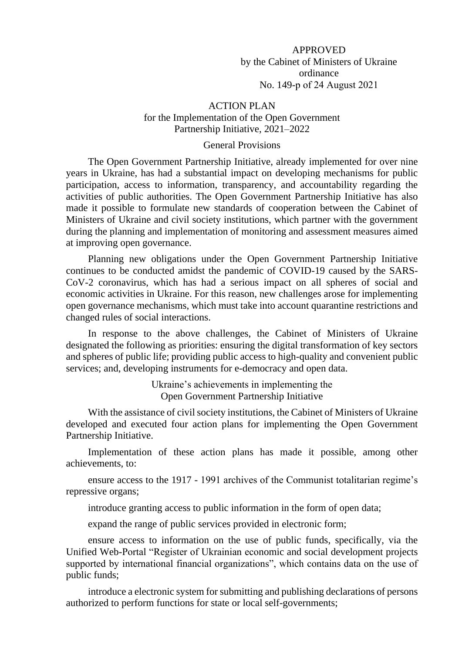### APPROVED

by the Cabinet of Ministers of Ukraine ordinance No. 149-р of 24 August 2021

#### ACTION PLAN

# for the Implementation of the Open Government Partnership Initiative, 2021–2022

### General Provisions

The Open Government Partnership Initiative, already implemented for over nine years in Ukraine, has had a substantial impact on developing mechanisms for public participation, access to information, transparency, and accountability regarding the activities of public authorities. The Open Government Partnership Initiative has also made it possible to formulate new standards of cooperation between the Cabinet of Ministers of Ukraine and civil society institutions, which partner with the government during the planning and implementation of monitoring and assessment measures aimed at improving open governance.

Planning new obligations under the Open Government Partnership Initiative continues to be conducted amidst the pandemic of COVID-19 caused by the SARS-CoV-2 coronavirus, which has had a serious impact on all spheres of social and economic activities in Ukraine. For this reason, new challenges arose for implementing open governance mechanisms, which must take into account quarantine restrictions and changed rules of social interactions.

In response to the above challenges, the Cabinet of Ministers of Ukraine designated the following as priorities: ensuring the digital transformation of key sectors and spheres of public life; providing public access to high-quality and convenient public services; and, developing instruments for e-democracy and open data.

> Ukraine's achievements in implementing the Open Government Partnership Initiative

With the assistance of civil society institutions, the Cabinet of Ministers of Ukraine developed and executed four action plans for implementing the Open Government Partnership Initiative.

Implementation of these action plans has made it possible, among other achievements, to:

ensure access to the 1917 - 1991 archives of the Communist totalitarian regime's repressive organs;

introduce granting access to public information in the form of open data;

expand the range of public services provided in electronic form;

ensure access to information on the use of public funds, specifically, via the Unified Web-Portal "Register of Ukrainian economic and social development projects supported by international financial organizations", which contains data on the use of public funds;

introduce a electronic system for submitting and publishing declarations of persons authorized to perform functions for state or local self-governments;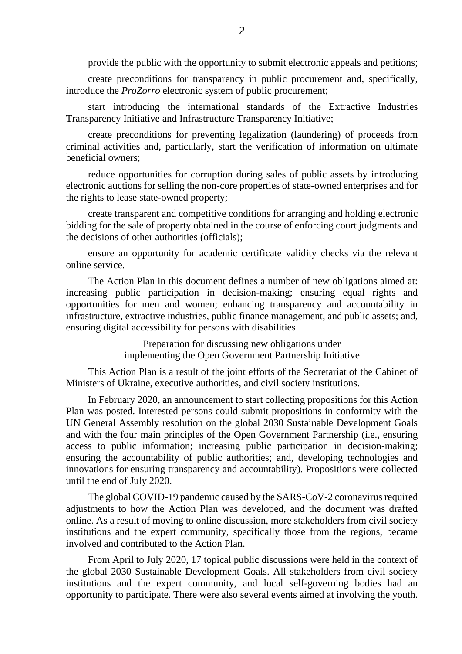provide the public with the opportunity to submit electronic appeals and petitions;

create preconditions for transparency in public procurement and, specifically, introduce the *ProZorro* electronic system of public procurement;

start introducing the international standards of the Extractive Industries Transparency Initiative and Infrastructure Transparency Initiative;

create preconditions for preventing legalization (laundering) of proceeds from criminal activities and, particularly, start the verification of information on ultimate beneficial owners;

reduce opportunities for corruption during sales of public assets by introducing electronic auctions for selling the non-core properties of state-owned enterprises and for the rights to lease state-owned property;

create transparent and competitive conditions for arranging and holding electronic bidding for the sale of property obtained in the course of enforcing court judgments and the decisions of other authorities (officials);

ensure an opportunity for academic certificate validity checks via the relevant online service.

The Action Plan in this document defines a number of new obligations aimed at: increasing public participation in decision-making; ensuring equal rights and opportunities for men and women; enhancing transparency and accountability in infrastructure, extractive industries, public finance management, and public assets; and, ensuring digital accessibility for persons with disabilities.

> Preparation for discussing new obligations under implementing the Open Government Partnership Initiative

This Action Plan is a result of the joint efforts of the Secretariat of the Cabinet of Ministers of Ukraine, executive authorities, and civil society institutions.

In February 2020, an announcement to start collecting propositions for this Action Plan was posted. Interested persons could submit propositions in conformity with the UN General Assembly resolution on the global 2030 Sustainable Development Goals and with the four main principles of the Open Government Partnership (i.e., ensuring access to public information; increasing public participation in decision-making; ensuring the accountability of public authorities; and, developing technologies and innovations for ensuring transparency and accountability). Propositions were collected until the end of July 2020.

The global COVID-19 pandemic caused by the SARS-CoV-2 coronavirus required adjustments to how the Action Plan was developed, and the document was drafted online. As a result of moving to online discussion, more stakeholders from civil society institutions and the expert community, specifically those from the regions, became involved and contributed to the Action Plan.

From April to July 2020, 17 topical public discussions were held in the context of the global 2030 Sustainable Development Goals. All stakeholders from civil society institutions and the expert community, and local self-governing bodies had an opportunity to participate. There were also several events aimed at involving the youth.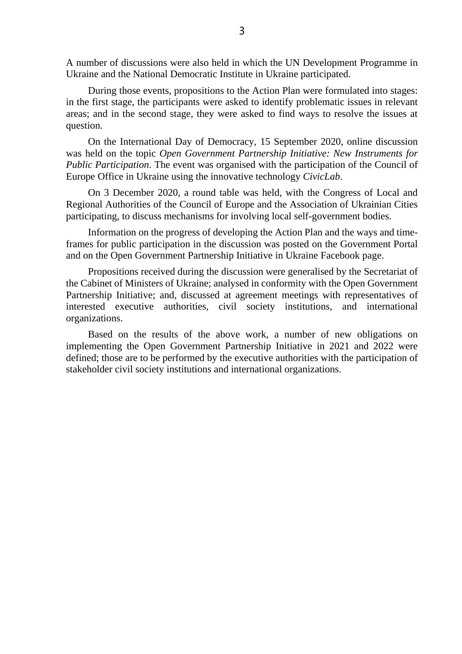A number of discussions were also held in which the UN Development Programme in Ukraine and the National Democratic Institute in Ukraine participated.

During those events, propositions to the Action Plan were formulated into stages: in the first stage, the participants were asked to identify problematic issues in relevant areas; and in the second stage, they were asked to find ways to resolve the issues at question.

On the International Day of Democracy, 15 September 2020, online discussion was held on the topic *Open Government Partnership Initiative: New Instruments for Public Participation*. The event was organised with the participation of the Council of Europe Office in Ukraine using the innovative technology *CivicLab*.

On 3 December 2020, a round table was held, with the Congress of Local and Regional Authorities of the Council of Europe and the Association of Ukrainian Cities participating, to discuss mechanisms for involving local self-government bodies.

Information on the progress of developing the Action Plan and the ways and timeframes for public participation in the discussion was posted on the Government Portal and on the Open Government Partnership Initiative in Ukraine Facebook page.

Propositions received during the discussion were generalised by the Secretariat of the Cabinet of Ministers of Ukraine; analysed in conformity with the Open Government Partnership Initiative; and, discussed at agreement meetings with representatives of interested executive authorities, civil society institutions, and international organizations.

Based on the results of the above work, a number of new obligations on implementing the Open Government Partnership Initiative in 2021 and 2022 were defined; those are to be performed by the executive authorities with the participation of stakeholder civil society institutions and international organizations.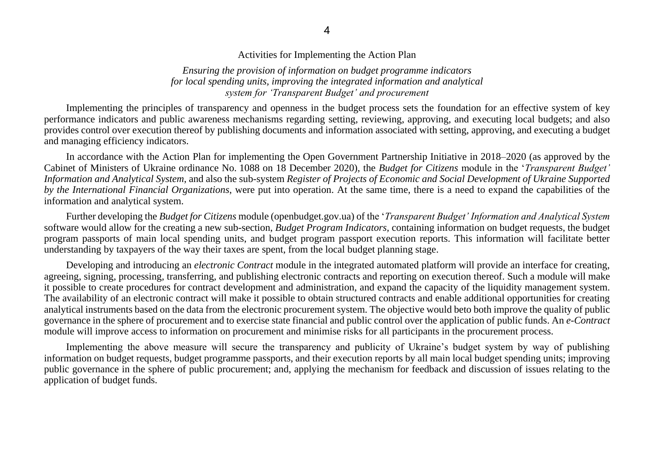Activities for Implementing the Action Plan

*Ensuring the provision of information on budget programme indicators for local spending units, improving the integrated information and analytical system for 'Transparent Budget' and procurement*

Implementing the principles of transparency and openness in the budget process sets the foundation for an effective system of key performance indicators and public awareness mechanisms regarding setting, reviewing, approving, and executing local budgets; and also provides control over execution thereof by publishing documents and information associated with setting, approving, and executing a budget and managing efficiency indicators.

In accordance with the Action Plan for implementing the Open Government Partnership Initiative in 2018–2020 (as approved by the Cabinet of Ministers of Ukraine ordinance No. 1088 on 18 December 2020), the *Budget for Citizens* module in the '*Transparent Budget' Information and Analytical System*, and also the sub-system *Register of Projects of Economic and Social Development of Ukraine Supported by the International Financial Organizations*, were put into operation. At the same time, there is a need to expand the capabilities of the information and analytical system.

Further developing the *Budget for Citizens* module (openbudget.gov.ua) of the '*Transparent Budget' Information and Analytical System*  software would allow for the creating a new sub-section, *Budget Program Indicators,* containing information on budget requests, the budget program passports of main local spending units, and budget program passport execution reports. This information will facilitate better understanding by taxpayers of the way their taxes are spent, from the local budget planning stage.

Developing and introducing an *electronic Contract* module in the integrated automated platform will provide an interface for creating, agreeing, signing, processing, transferring, and publishing electronic contracts and reporting on execution thereof. Such a module will make it possible to create procedures for contract development and administration, and expand the capacity of the liquidity management system. The availability of an electronic contract will make it possible to obtain structured contracts and enable additional opportunities for creating analytical instruments based on the data from the electronic procurement system. The objective would beto both improve the quality of public governance in the sphere of procurement and to exercise state financial and public control over the application of public funds. An *e-Contract* module will improve access to information on procurement and minimise risks for all participants in the procurement process.

Implementing the above measure will secure the transparency and publicity of Ukraine's budget system by way of publishing information on budget requests, budget programme passports, and their execution reports by all main local budget spending units; improving public governance in the sphere of public procurement; and, applying the mechanism for feedback and discussion of issues relating to the application of budget funds.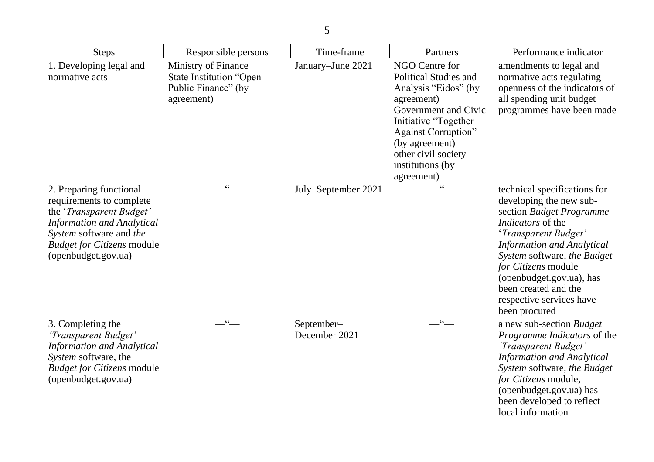| <b>Steps</b>                                                                                                                                                                                                | Responsible persons                                                                        | Time-frame                  | Partners                                                                                                                                                                                                                                      | Performance indicator                                                                                                                                                                                                                                                                                                               |
|-------------------------------------------------------------------------------------------------------------------------------------------------------------------------------------------------------------|--------------------------------------------------------------------------------------------|-----------------------------|-----------------------------------------------------------------------------------------------------------------------------------------------------------------------------------------------------------------------------------------------|-------------------------------------------------------------------------------------------------------------------------------------------------------------------------------------------------------------------------------------------------------------------------------------------------------------------------------------|
| 1. Developing legal and<br>normative acts                                                                                                                                                                   | Ministry of Finance<br><b>State Institution "Open</b><br>Public Finance" (by<br>agreement) | January-June 2021           | NGO Centre for<br><b>Political Studies and</b><br>Analysis "Eidos" (by<br>agreement)<br>Government and Civic<br>Initiative "Together<br><b>Against Corruption"</b><br>(by agreement)<br>other civil society<br>institutions (by<br>agreement) | amendments to legal and<br>normative acts regulating<br>openness of the indicators of<br>all spending unit budget<br>programmes have been made                                                                                                                                                                                      |
| 2. Preparing functional<br>requirements to complete<br>the 'Transparent Budget'<br><b>Information and Analytical</b><br>System software and the<br><b>Budget for Citizens module</b><br>(openbudget.gov.ua) | $\cdot$ $\cdot$                                                                            | July–September 2021         | 66                                                                                                                                                                                                                                            | technical specifications for<br>developing the new sub-<br>section Budget Programme<br><i>Indicators</i> of the<br>'Transparent Budget'<br><b>Information and Analytical</b><br>System software, the Budget<br>for Citizens module<br>(openbudget.gov.ua), has<br>been created and the<br>respective services have<br>been procured |
| 3. Completing the<br>'Transparent Budget'<br><b>Information and Analytical</b><br>System software, the<br><b>Budget for Citizens module</b><br>(openbudget.gov.ua)                                          | $\frac{1}{2}$                                                                              | September-<br>December 2021 | $-$ "                                                                                                                                                                                                                                         | a new sub-section Budget<br>Programme Indicators of the<br>'Transparent Budget'<br><b>Information and Analytical</b><br>System software, the Budget<br>for Citizens module,<br>(openbudget.gov.ua) has<br>been developed to reflect<br>local information                                                                            |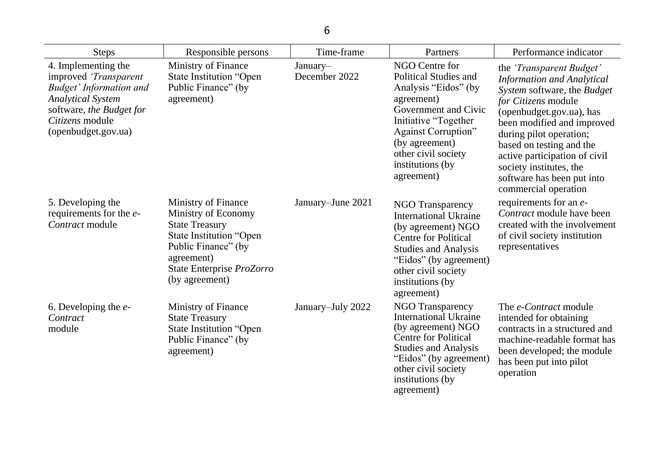| <b>Steps</b>                                                                                                                                                                     | Responsible persons                                                                                                                                                                       | Time-frame                | Partners                                                                                                                                                                                                                                      | Performance indicator                                                                                                                                                                                                                                                                                                                                        |
|----------------------------------------------------------------------------------------------------------------------------------------------------------------------------------|-------------------------------------------------------------------------------------------------------------------------------------------------------------------------------------------|---------------------------|-----------------------------------------------------------------------------------------------------------------------------------------------------------------------------------------------------------------------------------------------|--------------------------------------------------------------------------------------------------------------------------------------------------------------------------------------------------------------------------------------------------------------------------------------------------------------------------------------------------------------|
| 4. Implementing the<br>improved 'Transparent<br><b>Budget' Information and</b><br><b>Analytical System</b><br>software, the Budget for<br>Citizens module<br>(openbudget.gov.ua) | Ministry of Finance<br><b>State Institution "Open</b><br>Public Finance" (by<br>agreement)                                                                                                | January-<br>December 2022 | NGO Centre for<br><b>Political Studies and</b><br>Analysis "Eidos" (by<br>agreement)<br>Government and Civic<br>Initiative "Together<br><b>Against Corruption"</b><br>(by agreement)<br>other civil society<br>institutions (by<br>agreement) | the <i>Transparent Budget'</i><br><b>Information and Analytical</b><br>System software, the Budget<br>for Citizens module<br>(openbudget.gov.ua), has<br>been modified and improved<br>during pilot operation;<br>based on testing and the<br>active participation of civil<br>society institutes, the<br>software has been put into<br>commercial operation |
| 5. Developing the<br>requirements for the <i>e</i> -<br>Contract module                                                                                                          | Ministry of Finance<br>Ministry of Economy<br><b>State Treasury</b><br><b>State Institution "Open</b><br>Public Finance" (by<br>agreement)<br>State Enterprise ProZorro<br>(by agreement) | January-June 2021         | <b>NGO Transparency</b><br><b>International Ukraine</b><br>(by agreement) NGO<br><b>Centre for Political</b><br><b>Studies and Analysis</b><br>"Eidos" (by agreement)<br>other civil society<br>institutions (by<br>agreement)                | requirements for an <i>e</i> -<br>Contract module have been<br>created with the involvement<br>of civil society institution<br>representatives                                                                                                                                                                                                               |
| 6. Developing the $e$ -<br>Contract<br>module                                                                                                                                    | Ministry of Finance<br><b>State Treasury</b><br><b>State Institution "Open</b><br>Public Finance" (by<br>agreement)                                                                       | January-July 2022         | <b>NGO Transparency</b><br><b>International Ukraine</b><br>(by agreement) NGO<br><b>Centre for Political</b><br><b>Studies and Analysis</b><br>"Eidos" (by agreement)<br>other civil society<br>institutions (by<br>agreement)                | The <i>e-Contract</i> module<br>intended for obtaining<br>contracts in a structured and<br>machine-readable format has<br>been developed; the module<br>has been put into pilot<br>operation                                                                                                                                                                 |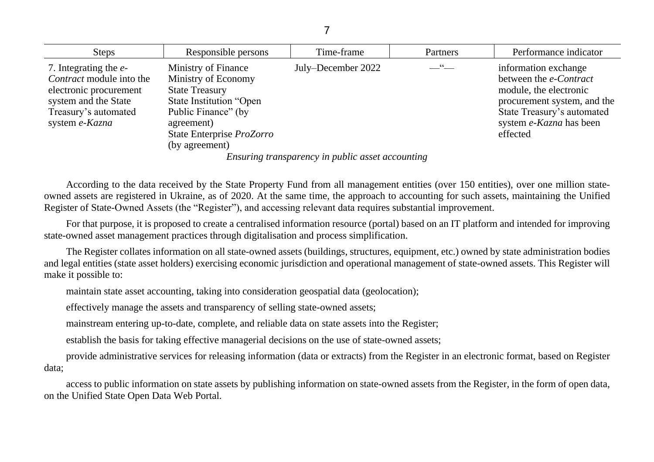| <b>Steps</b>                                                                                                                                          | Responsible persons                                                                                                                                                                | Time-frame                                                                                                                                                                                                                                                                                                                                                                                                               | Partners                | Performance indicator                                                                                                                                                                      |
|-------------------------------------------------------------------------------------------------------------------------------------------------------|------------------------------------------------------------------------------------------------------------------------------------------------------------------------------------|--------------------------------------------------------------------------------------------------------------------------------------------------------------------------------------------------------------------------------------------------------------------------------------------------------------------------------------------------------------------------------------------------------------------------|-------------------------|--------------------------------------------------------------------------------------------------------------------------------------------------------------------------------------------|
| 7. Integrating the <i>e</i> -<br>Contract module into the<br>electronic procurement<br>system and the State<br>Treasury's automated<br>system e-Kazna | Ministry of Finance<br>Ministry of Economy<br><b>State Treasury</b><br>State Institution "Open<br>Public Finance" (by<br>agreement)<br>State Enterprise ProZorro<br>(by agreement) | July–December 2022                                                                                                                                                                                                                                                                                                                                                                                                       | $\frac{1}{\sqrt{2}}$ 66 | information exchange<br>between the <i>e-Contract</i><br>module, the electronic<br>procurement system, and the<br>State Treasury's automated<br>system <i>e-Kazna</i> has been<br>effected |
|                                                                                                                                                       |                                                                                                                                                                                    | $F_1, \ldots, F_n, \ldots, F_n, \ldots, F_n, \ldots, F_n, \ldots, F_n, \ldots, F_n, \ldots, F_n, \ldots, F_n, \ldots, F_n, \ldots, F_n, \ldots, F_n, \ldots, F_n, \ldots, F_n, \ldots, F_n, \ldots, F_n, \ldots, F_n, \ldots, F_n, \ldots, F_n, \ldots, F_n, \ldots, F_n, \ldots, F_n, \ldots, F_n, \ldots, F_n, \ldots, F_n, \ldots, F_n, \ldots, F_n, \ldots, F_n, \ldots, F_n, \ldots, F_n, \ldots, F_n, \ldots, F_n$ |                         |                                                                                                                                                                                            |

*Ensuring transparency in public asset accounting*

According to the data received by the State Property Fund from all management entities (over 150 entities), over one million stateowned assets are registered in Ukraine, as of 2020. At the same time, the approach to accounting for such assets, maintaining the Unified Register of State-Owned Assets (the "Register"), and accessing relevant data requires substantial improvement.

For that purpose, it is proposed to create a centralised information resource (portal) based on an IT platform and intended for improving state-owned asset management practices through digitalisation and process simplification.

The Register collates information on all state-owned assets (buildings, structures, equipment, etc.) owned by state administration bodies and legal entities (state asset holders) exercising economic jurisdiction and operational management of state-owned assets. This Register will make it possible to:

maintain state asset accounting, taking into consideration geospatial data (geolocation);

effectively manage the assets and transparency of selling state-owned assets;

mainstream entering up-to-date, complete, and reliable data on state assets into the Register;

establish the basis for taking effective managerial decisions on the use of state-owned assets;

provide administrative services for releasing information (data or extracts) from the Register in an electronic format, based on Register data;

access to public information on state assets by publishing information on state-owned assets from the Register, in the form of open data, on the Unified State Open Data Web Portal.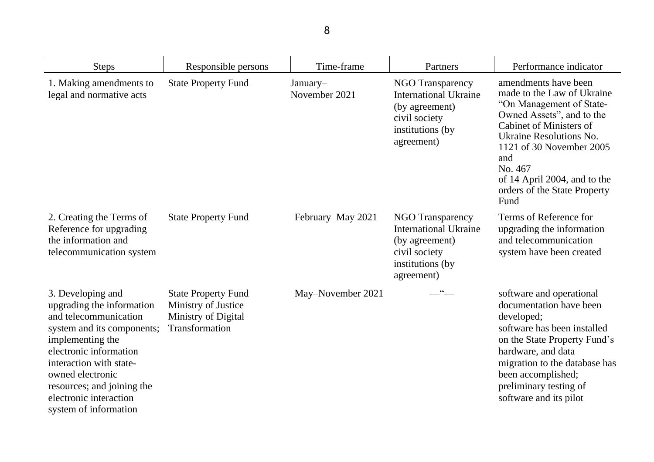| <b>Steps</b>                                                                                                                                                                                                                                                                        | Responsible persons                                                                        | Time-frame                | Partners                                                                                                                     | Performance indicator                                                                                                                                                                                                                                                                          |
|-------------------------------------------------------------------------------------------------------------------------------------------------------------------------------------------------------------------------------------------------------------------------------------|--------------------------------------------------------------------------------------------|---------------------------|------------------------------------------------------------------------------------------------------------------------------|------------------------------------------------------------------------------------------------------------------------------------------------------------------------------------------------------------------------------------------------------------------------------------------------|
| 1. Making amendments to<br>legal and normative acts                                                                                                                                                                                                                                 | <b>State Property Fund</b>                                                                 | January-<br>November 2021 | NGO Transparency<br><b>International Ukraine</b><br>(by agreement)<br>civil society<br>institutions (by)<br>agreement)       | amendments have been<br>made to the Law of Ukraine<br>"On Management of State-<br>Owned Assets", and to the<br><b>Cabinet of Ministers of</b><br>Ukraine Resolutions No.<br>1121 of 30 November 2005<br>and<br>No. 467<br>of 14 April 2004, and to the<br>orders of the State Property<br>Fund |
| 2. Creating the Terms of<br>Reference for upgrading<br>the information and<br>telecommunication system                                                                                                                                                                              | <b>State Property Fund</b>                                                                 | February–May 2021         | <b>NGO Transparency</b><br><b>International Ukraine</b><br>(by agreement)<br>civil society<br>institutions (by<br>agreement) | Terms of Reference for<br>upgrading the information<br>and telecommunication<br>system have been created                                                                                                                                                                                       |
| 3. Developing and<br>upgrading the information<br>and telecommunication<br>system and its components;<br>implementing the<br>electronic information<br>interaction with state-<br>owned electronic<br>resources; and joining the<br>electronic interaction<br>system of information | <b>State Property Fund</b><br>Ministry of Justice<br>Ministry of Digital<br>Transformation | May–November 2021         | $-$ " $-$                                                                                                                    | software and operational<br>documentation have been<br>developed;<br>software has been installed<br>on the State Property Fund's<br>hardware, and data<br>migration to the database has<br>been accomplished;<br>preliminary testing of<br>software and its pilot                              |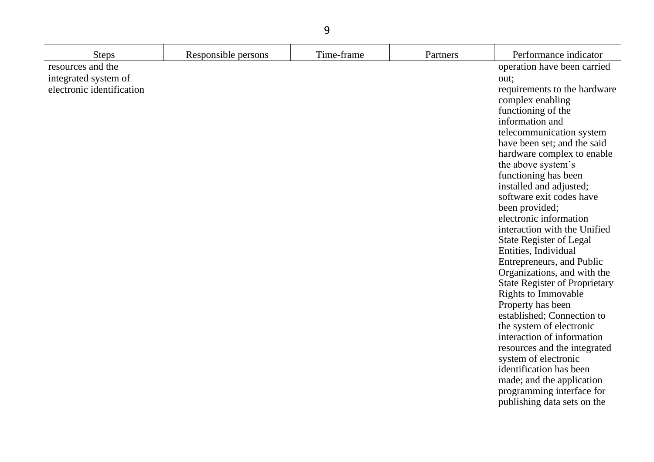| <b>Steps</b>                                                           | Responsible persons | Time-frame | Partners | Performance indicator                                                                                                                                                                                                                                                                                                                                                                                                                                                                                                                                                                                                                                                                                                                                                                                                                                                                    |
|------------------------------------------------------------------------|---------------------|------------|----------|------------------------------------------------------------------------------------------------------------------------------------------------------------------------------------------------------------------------------------------------------------------------------------------------------------------------------------------------------------------------------------------------------------------------------------------------------------------------------------------------------------------------------------------------------------------------------------------------------------------------------------------------------------------------------------------------------------------------------------------------------------------------------------------------------------------------------------------------------------------------------------------|
| resources and the<br>integrated system of<br>electronic identification |                     |            |          | operation have been carried<br>out;<br>requirements to the hardware<br>complex enabling<br>functioning of the<br>information and<br>telecommunication system<br>have been set; and the said<br>hardware complex to enable<br>the above system's<br>functioning has been<br>installed and adjusted;<br>software exit codes have<br>been provided;<br>electronic information<br>interaction with the Unified<br>State Register of Legal<br>Entities, Individual<br>Entrepreneurs, and Public<br>Organizations, and with the<br><b>State Register of Proprietary</b><br><b>Rights to Immovable</b><br>Property has been<br>established; Connection to<br>the system of electronic<br>interaction of information<br>resources and the integrated<br>system of electronic<br>identification has been<br>made; and the application<br>programming interface for<br>publishing data sets on the |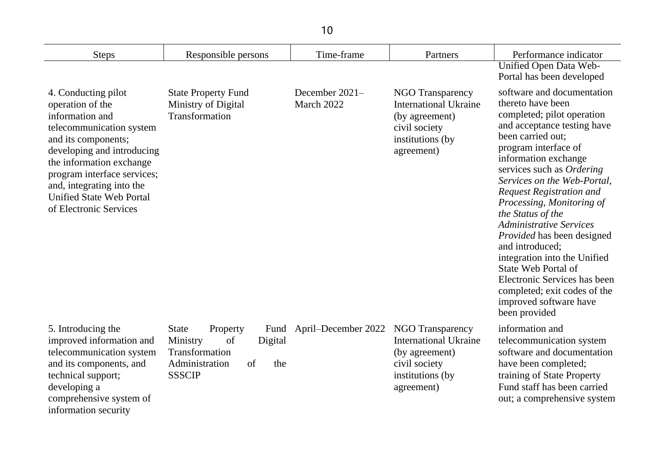| <b>Steps</b>                                                                                                                                                                                                                                                                                     | Responsible persons                                                                                                             | Time-frame                   | Partners                                                                                                                      | Performance indicator                                                                                                                                                                                                                                                                                                                                                                                                                                                                                                                                                                   |
|--------------------------------------------------------------------------------------------------------------------------------------------------------------------------------------------------------------------------------------------------------------------------------------------------|---------------------------------------------------------------------------------------------------------------------------------|------------------------------|-------------------------------------------------------------------------------------------------------------------------------|-----------------------------------------------------------------------------------------------------------------------------------------------------------------------------------------------------------------------------------------------------------------------------------------------------------------------------------------------------------------------------------------------------------------------------------------------------------------------------------------------------------------------------------------------------------------------------------------|
|                                                                                                                                                                                                                                                                                                  |                                                                                                                                 |                              |                                                                                                                               | Unified Open Data Web-<br>Portal has been developed                                                                                                                                                                                                                                                                                                                                                                                                                                                                                                                                     |
| 4. Conducting pilot<br>operation of the<br>information and<br>telecommunication system<br>and its components;<br>developing and introducing<br>the information exchange<br>program interface services;<br>and, integrating into the<br><b>Unified State Web Portal</b><br>of Electronic Services | <b>State Property Fund</b><br>Ministry of Digital<br>Transformation                                                             | December 2021-<br>March 2022 | <b>NGO Transparency</b><br><b>International Ukraine</b><br>(by agreement)<br>civil society<br>institutions (by)<br>agreement) | software and documentation<br>thereto have been<br>completed; pilot operation<br>and acceptance testing have<br>been carried out;<br>program interface of<br>information exchange<br>services such as Ordering<br>Services on the Web-Portal,<br><b>Request Registration and</b><br>Processing, Monitoring of<br>the Status of the<br><b>Administrative Services</b><br>Provided has been designed<br>and introduced;<br>integration into the Unified<br>State Web Portal of<br>Electronic Services has been<br>completed; exit codes of the<br>improved software have<br>been provided |
| 5. Introducing the<br>improved information and<br>telecommunication system<br>and its components, and<br>technical support;<br>developing a<br>comprehensive system of                                                                                                                           | <b>State</b><br>Property<br>Fund<br>Ministry<br>of<br>Digital<br>Transformation<br>Administration<br>the<br>of<br><b>SSSCIP</b> | April–December 2022          | <b>NGO Transparency</b><br><b>International Ukraine</b><br>(by agreement)<br>civil society<br>institutions (by)<br>agreement) | information and<br>telecommunication system<br>software and documentation<br>have been completed;<br>training of State Property<br>Fund staff has been carried<br>out; a comprehensive system                                                                                                                                                                                                                                                                                                                                                                                           |

information security

# prenensive sy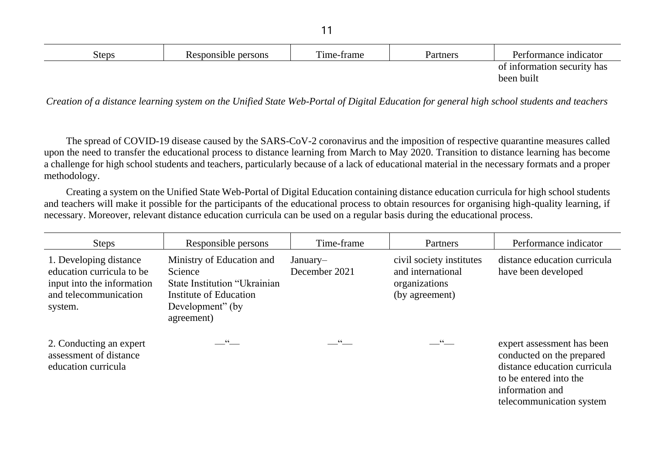| <b>Steps</b> | Responsible persons | Time-frame | Partners | Performance indicator       |
|--------------|---------------------|------------|----------|-----------------------------|
|              |                     |            |          | of information security has |
|              |                     |            |          | been built                  |
|              |                     |            |          |                             |

*Creation of a distance learning system on the Unified State Web-Portal of Digital Education for general high school students and teachers* 

The spread of COVID-19 disease caused by the SARS-CoV-2 coronavirus and the imposition of respective quarantine measures called upon the need to transfer the educational process to distance learning from March to May 2020. Transition to distance learning has become a challenge for high school students and teachers, particularly because of a lack of educational material in the necessary formats and a proper methodology.

Creating a system on the Unified State Web-Portal of Digital Education containing distance education curricula for high school students and teachers will make it possible for the participants of the educational process to obtain resources for organising high-quality learning, if necessary. Moreover, relevant distance education curricula can be used on a regular basis during the educational process.

| <b>Steps</b>                                                                                                          | Responsible persons                                                                                                                      | Time-frame                | Partners                                                                         | Performance indicator                                                                                                                                            |
|-----------------------------------------------------------------------------------------------------------------------|------------------------------------------------------------------------------------------------------------------------------------------|---------------------------|----------------------------------------------------------------------------------|------------------------------------------------------------------------------------------------------------------------------------------------------------------|
| 1. Developing distance<br>education curricula to be<br>input into the information<br>and telecommunication<br>system. | Ministry of Education and<br>Science<br>State Institution "Ukrainian"<br><b>Institute of Education</b><br>Development" (by<br>agreement) | January-<br>December 2021 | civil society institutes<br>and international<br>organizations<br>(by agreement) | distance education curricula<br>have been developed                                                                                                              |
| 2. Conducting an expert<br>assessment of distance<br>education curricula                                              | _''__                                                                                                                                    | 66                        | $ \cdot$ $-$                                                                     | expert assessment has been<br>conducted on the prepared<br>distance education curricula<br>to be entered into the<br>information and<br>telecommunication system |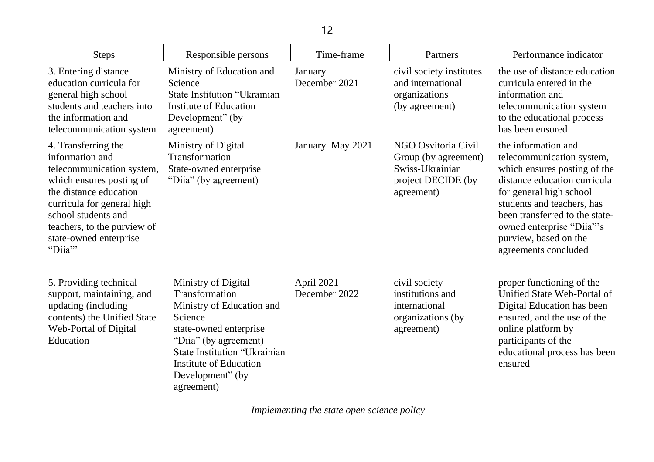| <b>Steps</b>                                                                                                                                                                                                                                      | Responsible persons                                                                                                                                                                                                                 | Time-frame                   | Partners                                                                                           | Performance indicator                                                                                                                                                                                                                                                                     |
|---------------------------------------------------------------------------------------------------------------------------------------------------------------------------------------------------------------------------------------------------|-------------------------------------------------------------------------------------------------------------------------------------------------------------------------------------------------------------------------------------|------------------------------|----------------------------------------------------------------------------------------------------|-------------------------------------------------------------------------------------------------------------------------------------------------------------------------------------------------------------------------------------------------------------------------------------------|
| 3. Entering distance<br>education curricula for<br>general high school<br>students and teachers into<br>the information and<br>telecommunication system                                                                                           | Ministry of Education and<br>Science<br>State Institution "Ukrainian<br>Institute of Education<br>Development" (by<br>agreement)                                                                                                    | January-<br>December 2021    | civil society institutes<br>and international<br>organizations<br>(by agreement)                   | the use of distance education<br>curricula entered in the<br>information and<br>telecommunication system<br>to the educational process<br>has been ensured                                                                                                                                |
| 4. Transferring the<br>information and<br>telecommunication system,<br>which ensures posting of<br>the distance education<br>curricula for general high<br>school students and<br>teachers, to the purview of<br>state-owned enterprise<br>"Diia" | Ministry of Digital<br>Transformation<br>State-owned enterprise<br>"Diia" (by agreement)                                                                                                                                            | January–May 2021             | NGO Osvitoria Civil<br>Group (by agreement)<br>Swiss-Ukrainian<br>project DECIDE (by<br>agreement) | the information and<br>telecommunication system,<br>which ensures posting of the<br>distance education curricula<br>for general high school<br>students and teachers, has<br>been transferred to the state-<br>owned enterprise "Diia"'s<br>purview, based on the<br>agreements concluded |
| 5. Providing technical<br>support, maintaining, and<br>updating (including<br>contents) the Unified State<br><b>Web-Portal of Digital</b><br>Education                                                                                            | Ministry of Digital<br>Transformation<br>Ministry of Education and<br>Science<br>state-owned enterprise<br>"Diia" (by agreement)<br><b>State Institution "Ukrainian</b><br>Institute of Education<br>Development" (by<br>agreement) | April 2021-<br>December 2022 | civil society<br>institutions and<br>international<br>organizations (by<br>agreement)              | proper functioning of the<br>Unified State Web-Portal of<br>Digital Education has been<br>ensured, and the use of the<br>online platform by<br>participants of the<br>educational process has been<br>ensured                                                                             |

*Implementing the state open science policy*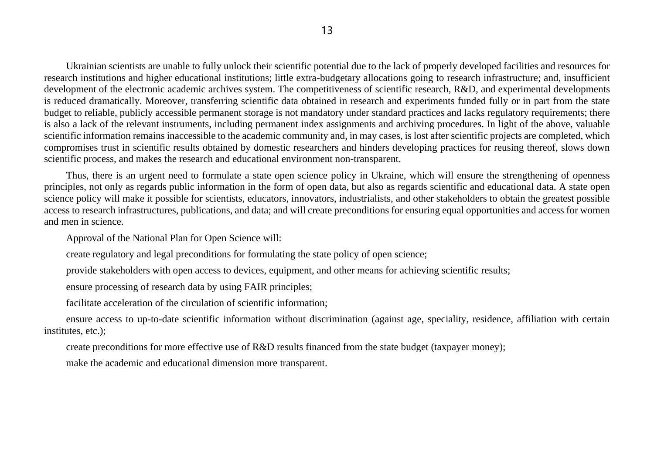Ukrainian scientists are unable to fully unlock their scientific potential due to the lack of properly developed facilities and resources for research institutions and higher educational institutions; little extra-budgetary allocations going to research infrastructure; and, insufficient development of the electronic academic archives system. The competitiveness of scientific research, R&D, and experimental developments is reduced dramatically. Moreover, transferring scientific data obtained in research and experiments funded fully or in part from the state budget to reliable, publicly accessible permanent storage is not mandatory under standard practices and lacks regulatory requirements; there is also a lack of the relevant instruments, including permanent index assignments and archiving procedures. In light of the above, valuable scientific information remains inaccessible to the academic community and, in may cases, is lost after scientific projects are completed, which compromises trust in scientific results obtained by domestic researchers and hinders developing practices for reusing thereof, slows down scientific process, and makes the research and educational environment non-transparent.

Thus, there is an urgent need to formulate a state open science policy in Ukraine, which will ensure the strengthening of openness principles, not only as regards public information in the form of open data, but also as regards scientific and educational data. A state open science policy will make it possible for scientists, educators, innovators, industrialists, and other stakeholders to obtain the greatest possible access to research infrastructures, publications, and data; and will create preconditions for ensuring equal opportunities and access for women and men in science.

Approval of the National Plan for Open Science will:

create regulatory and legal preconditions for formulating the state policy of open science;

provide stakeholders with open access to devices, equipment, and other means for achieving scientific results;

ensure processing of research data by using FAIR principles;

facilitate acceleration of the circulation of scientific information;

ensure access to up-to-date scientific information without discrimination (against age, speciality, residence, affiliation with certain institutes, etc.);

create preconditions for more effective use of R&D results financed from the state budget (taxpayer money);

make the academic and educational dimension more transparent.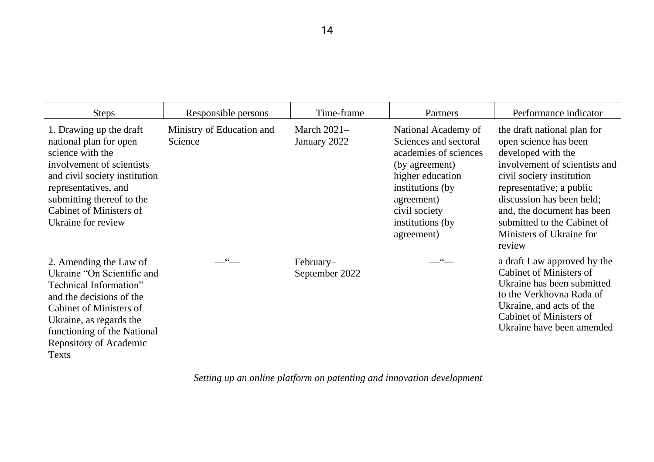| <b>Steps</b>                                                                                                                                                                                                                                     | Responsible persons                  | Time-frame                    | Partners                                                                                                                                                                                          | Performance indicator                                                                                                                                                                                                                                                                                |
|--------------------------------------------------------------------------------------------------------------------------------------------------------------------------------------------------------------------------------------------------|--------------------------------------|-------------------------------|---------------------------------------------------------------------------------------------------------------------------------------------------------------------------------------------------|------------------------------------------------------------------------------------------------------------------------------------------------------------------------------------------------------------------------------------------------------------------------------------------------------|
| 1. Drawing up the draft<br>national plan for open<br>science with the<br>involvement of scientists<br>and civil society institution<br>representatives, and<br>submitting thereof to the<br><b>Cabinet of Ministers of</b><br>Ukraine for review | Ministry of Education and<br>Science | March $2021-$<br>January 2022 | National Academy of<br>Sciences and sectoral<br>academies of sciences<br>(by agreement)<br>higher education<br>institutions (by<br>agreement)<br>civil society<br>institutions (by)<br>agreement) | the draft national plan for<br>open science has been<br>developed with the<br>involvement of scientists and<br>civil society institution<br>representative; a public<br>discussion has been held;<br>and, the document has been<br>submitted to the Cabinet of<br>Ministers of Ukraine for<br>review |
| 2. Amending the Law of<br>Ukraine "On Scientific and<br>Technical Information"<br>and the decisions of the<br>Cabinet of Ministers of<br>Ukraine, as regards the<br>functioning of the National<br>Repository of Academic<br>Texts               | $\frac{1}{2}$ 66                     | February-<br>September 2022   | $-$ "                                                                                                                                                                                             | a draft Law approved by the<br><b>Cabinet of Ministers of</b><br>Ukraine has been submitted<br>to the Verkhovna Rada of<br>Ukraine, and acts of the<br><b>Cabinet of Ministers of</b><br>Ukraine have been amended                                                                                   |

*Setting up an online platform on patenting and innovation development*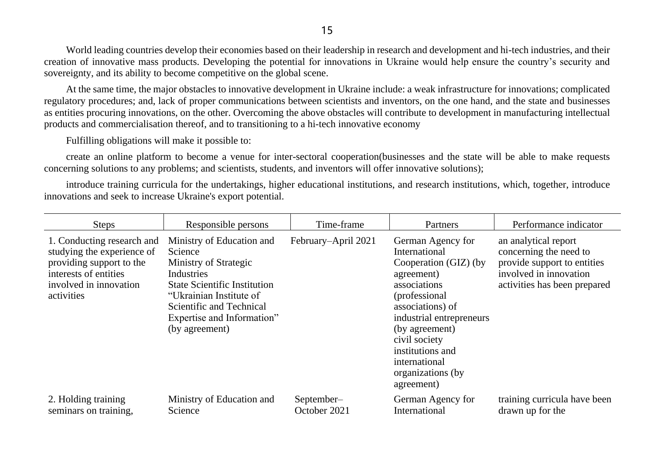World leading countries develop their economies based on their leadership in research and development and hi-tech industries, and their creation of innovative mass products. Developing the potential for innovations in Ukraine would help ensure the country's security and sovereignty, and its ability to become competitive on the global scene.

At the same time, the major obstacles to innovative development in Ukraine include: a weak infrastructure for innovations; complicated regulatory procedures; and, lack of proper communications between scientists and inventors, on the one hand, and the state and businesses as entities procuring innovations, on the other. Overcoming the above obstacles will contribute to development in manufacturing intellectual products and commercialisation thereof, and to transitioning to a hi-tech innovative economy

Fulfilling obligations will make it possible to:

create an online platform to become a venue for inter-sectoral cooperation(businesses and the state will be able to make requests concerning solutions to any problems; and scientists, students, and inventors will offer innovative solutions);

introduce training curricula for the undertakings, higher educational institutions, and research institutions, which, together, introduce innovations and seek to increase Ukraine's export potential.

| <b>Steps</b>                                                                                                                                          | Responsible persons                                                                                                                                                                                                       | Time-frame                 | Partners                                                                                                                                                                                                                                                               | Performance indicator                                                                                                                   |
|-------------------------------------------------------------------------------------------------------------------------------------------------------|---------------------------------------------------------------------------------------------------------------------------------------------------------------------------------------------------------------------------|----------------------------|------------------------------------------------------------------------------------------------------------------------------------------------------------------------------------------------------------------------------------------------------------------------|-----------------------------------------------------------------------------------------------------------------------------------------|
| 1. Conducting research and<br>studying the experience of<br>providing support to the<br>interests of entities<br>involved in innovation<br>activities | Ministry of Education and<br>Science<br>Ministry of Strategic<br>Industries<br><b>State Scientific Institution</b><br>"Ukrainian Institute of<br>Scientific and Technical<br>Expertise and Information"<br>(by agreement) | February–April 2021        | German Agency for<br>International<br>Cooperation (GIZ) (by<br>agreement)<br>associations<br>(professional)<br>associations) of<br>industrial entrepreneurs<br>(by agreement)<br>civil society<br>institutions and<br>international<br>organizations (by<br>agreement) | an analytical report<br>concerning the need to<br>provide support to entities<br>involved in innovation<br>activities has been prepared |
| 2. Holding training<br>seminars on training,                                                                                                          | Ministry of Education and<br>Science                                                                                                                                                                                      | September-<br>October 2021 | German Agency for<br>International                                                                                                                                                                                                                                     | training curricula have been<br>drawn up for the                                                                                        |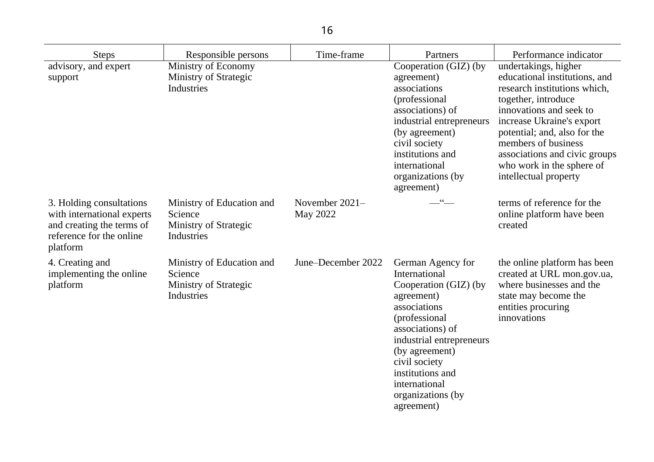| <b>Steps</b>                                                                                                                | Responsible persons                                                         | Time-frame                   | Partners                                                                                                                                                                                                                           | Performance indicator                                                                                                                                                                                                                                                                                              |
|-----------------------------------------------------------------------------------------------------------------------------|-----------------------------------------------------------------------------|------------------------------|------------------------------------------------------------------------------------------------------------------------------------------------------------------------------------------------------------------------------------|--------------------------------------------------------------------------------------------------------------------------------------------------------------------------------------------------------------------------------------------------------------------------------------------------------------------|
| advisory, and expert<br>support                                                                                             | Ministry of Economy<br>Ministry of Strategic<br>Industries                  |                              | Cooperation (GIZ) (by<br>agreement)<br>associations<br>(professional)<br>associations) of<br>industrial entrepreneurs<br>(by agreement)<br>civil society<br>institutions and<br>international<br>organizations (by<br>agreement)   | undertakings, higher<br>educational institutions, and<br>research institutions which,<br>together, introduce<br>innovations and seek to<br>increase Ukraine's export<br>potential; and, also for the<br>members of business<br>associations and civic groups<br>who work in the sphere of<br>intellectual property |
| 3. Holding consultations<br>with international experts<br>and creating the terms of<br>reference for the online<br>platform | Ministry of Education and<br>Science<br>Ministry of Strategic<br>Industries | November $2021-$<br>May 2022 | $\frac{1}{2}$                                                                                                                                                                                                                      | terms of reference for the<br>online platform have been<br>created                                                                                                                                                                                                                                                 |
| 4. Creating and<br>implementing the online<br>platform                                                                      | Ministry of Education and<br>Science<br>Ministry of Strategic<br>Industries | June–December 2022           | German Agency for<br>International<br>Cooperation (GIZ) (by<br>agreement)<br>associations<br>(professional<br>associations) of<br>industrial entrepreneurs<br>(by agreement)<br>civil society<br>institutions and<br>international | the online platform has been<br>created at URL mon.gov.ua,<br>where businesses and the<br>state may become the<br>entities procuring<br>innovations                                                                                                                                                                |

organizations (by

agreement)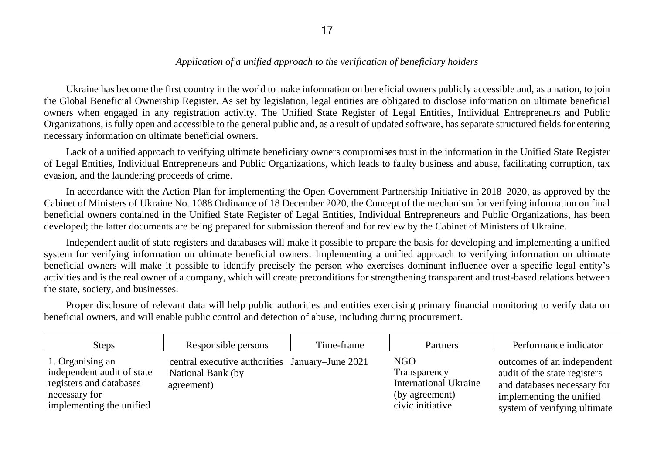## *Application of a unified approach to the verification of beneficiary holders*

Ukraine has become the first country in the world to make information on beneficial owners publicly accessible and, as a nation, to join the Global Beneficial Ownership Register. As set by legislation, legal entities are obligated to disclose information on ultimate beneficial owners when engaged in any registration activity. The Unified State Register of Legal Entities, Individual Entrepreneurs and Public Organizations, is fully open and accessible to the general public and, as a result of updated software, has separate structured fields for entering necessary information on ultimate beneficial owners.

Lack of a unified approach to verifying ultimate beneficiary owners compromises trust in the information in the Unified State Register of Legal Entities, Individual Entrepreneurs and Public Organizations, which leads to faulty business and abuse, facilitating corruption, tax evasion, and the laundering proceeds of crime.

In accordance with the Action Plan for implementing the Open Government Partnership Initiative in 2018–2020, as approved by the Cabinet of Ministers of Ukraine No. 1088 Ordinance of 18 December 2020, the Concept of the mechanism for verifying information on final beneficial owners contained in the Unified State Register of Legal Entities, Individual Entrepreneurs and Public Organizations, has been developed; the latter documents are being prepared for submission thereof and for review by the Cabinet of Ministers of Ukraine.

Independent audit of state registers and databases will make it possible to prepare the basis for developing and implementing a unified system for verifying information on ultimate beneficial owners. Implementing a unified approach to verifying information on ultimate beneficial owners will make it possible to identify precisely the person who exercises dominant influence over a specific legal entity's activities and is the real owner of a company, which will create preconditions for strengthening transparent and trust-based relations between the state, society, and businesses.

Proper disclosure of relevant data will help public authorities and entities exercising primary financial monitoring to verify data on beneficial owners, and will enable public control and detection of abuse, including during procurement.

| <b>Steps</b>                                                                                                           | Responsible persons                                                                | Time-frame | Partners                                                                                  | Performance indicator                                                                                                                                 |
|------------------------------------------------------------------------------------------------------------------------|------------------------------------------------------------------------------------|------------|-------------------------------------------------------------------------------------------|-------------------------------------------------------------------------------------------------------------------------------------------------------|
| 1. Organising an<br>independent audit of state<br>registers and databases<br>necessary for<br>implementing the unified | central executive authorities January–June 2021<br>National Bank (by<br>agreement) |            | NGO<br>Transparency<br><b>International Ukraine</b><br>(by agreement)<br>civic initiative | outcomes of an independent<br>audit of the state registers<br>and databases necessary for<br>implementing the unified<br>system of verifying ultimate |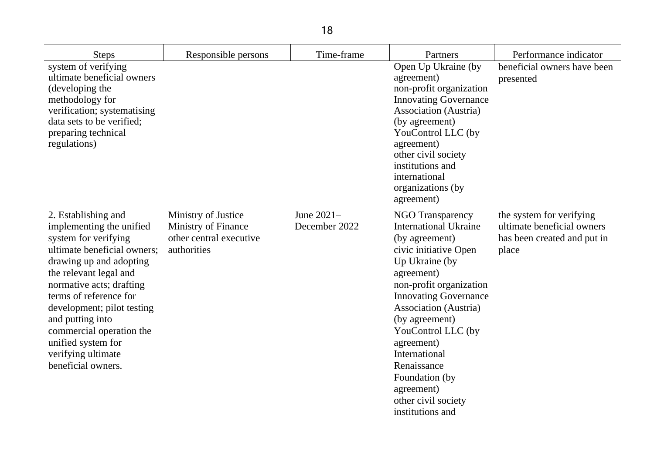| <b>Steps</b>                                                                                                                                                                                                                                                                                                                                                      | Responsible persons                                                                  | Time-frame                  | Partners                                                                                                                                                                                                                                                                                                                                                                                       | Performance indicator                                                                          |
|-------------------------------------------------------------------------------------------------------------------------------------------------------------------------------------------------------------------------------------------------------------------------------------------------------------------------------------------------------------------|--------------------------------------------------------------------------------------|-----------------------------|------------------------------------------------------------------------------------------------------------------------------------------------------------------------------------------------------------------------------------------------------------------------------------------------------------------------------------------------------------------------------------------------|------------------------------------------------------------------------------------------------|
| system of verifying<br>ultimate beneficial owners<br>(developing the<br>methodology for<br>verification; systematising<br>data sets to be verified;<br>preparing technical<br>regulations)                                                                                                                                                                        |                                                                                      |                             | Open Up Ukraine (by<br>agreement)<br>non-profit organization<br><b>Innovating Governance</b><br><b>Association</b> (Austria)<br>(by agreement)<br>YouControl LLC (by<br>agreement)<br>other civil society<br>institutions and<br>international<br>organizations (by<br>agreement)                                                                                                              | beneficial owners have been<br>presented                                                       |
| 2. Establishing and<br>implementing the unified<br>system for verifying<br>ultimate beneficial owners;<br>drawing up and adopting<br>the relevant legal and<br>normative acts; drafting<br>terms of reference for<br>development; pilot testing<br>and putting into<br>commercial operation the<br>unified system for<br>verifying ultimate<br>beneficial owners. | Ministry of Justice<br>Ministry of Finance<br>other central executive<br>authorities | June 2021-<br>December 2022 | <b>NGO Transparency</b><br><b>International Ukraine</b><br>(by agreement)<br>civic initiative Open<br>Up Ukraine (by<br>agreement)<br>non-profit organization<br><b>Innovating Governance</b><br><b>Association</b> (Austria)<br>(by agreement)<br>YouControl LLC (by<br>agreement)<br>International<br>Renaissance<br>Foundation (by<br>agreement)<br>other civil society<br>institutions and | the system for verifying<br>ultimate beneficial owners<br>has been created and put in<br>place |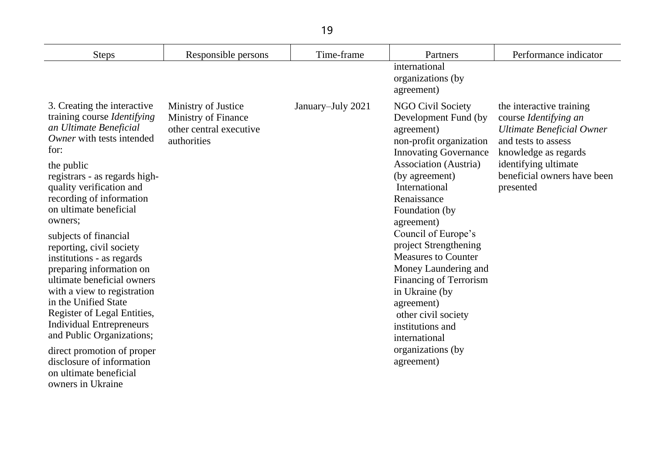| <b>Steps</b>                                                                                                                                                                                                                                                                                                                                                                                                                                                                                                                                      | Responsible persons                                                                  | Time-frame        | Partners                                                                                                                                                                                                                                                                                                                                                                                                                                               | Performance indicator                                                                                                                                                                                    |
|---------------------------------------------------------------------------------------------------------------------------------------------------------------------------------------------------------------------------------------------------------------------------------------------------------------------------------------------------------------------------------------------------------------------------------------------------------------------------------------------------------------------------------------------------|--------------------------------------------------------------------------------------|-------------------|--------------------------------------------------------------------------------------------------------------------------------------------------------------------------------------------------------------------------------------------------------------------------------------------------------------------------------------------------------------------------------------------------------------------------------------------------------|----------------------------------------------------------------------------------------------------------------------------------------------------------------------------------------------------------|
|                                                                                                                                                                                                                                                                                                                                                                                                                                                                                                                                                   |                                                                                      |                   | international<br>organizations (by<br>agreement)                                                                                                                                                                                                                                                                                                                                                                                                       |                                                                                                                                                                                                          |
| 3. Creating the interactive<br>training course <i>Identifying</i><br>an Ultimate Beneficial<br>Owner with tests intended<br>for:<br>the public<br>registrars - as regards high-<br>quality verification and<br>recording of information<br>on ultimate beneficial<br>owners;<br>subjects of financial<br>reporting, civil society<br>institutions - as regards<br>preparing information on<br>ultimate beneficial owners<br>with a view to registration<br>in the Unified State<br>Register of Legal Entities,<br><b>Individual Entrepreneurs</b> | Ministry of Justice<br>Ministry of Finance<br>other central executive<br>authorities | January-July 2021 | <b>NGO Civil Society</b><br>Development Fund (by<br>agreement)<br>non-profit organization<br><b>Innovating Governance</b><br><b>Association</b> (Austria)<br>(by agreement)<br>International<br>Renaissance<br>Foundation (by<br>agreement)<br>Council of Europe's<br>project Strengthening<br><b>Measures to Counter</b><br>Money Laundering and<br>Financing of Terrorism<br>in Ukraine (by<br>agreement)<br>other civil society<br>institutions and | the interactive training<br>course Identifying an<br><b>Ultimate Beneficial Owner</b><br>and tests to assess<br>knowledge as regards<br>identifying ultimate<br>beneficial owners have been<br>presented |
| and Public Organizations;<br>direct promotion of proper<br>disclosure of information<br>on ultimate beneficial<br>owners in Ukraine                                                                                                                                                                                                                                                                                                                                                                                                               |                                                                                      |                   | international<br>organizations (by<br>agreement)                                                                                                                                                                                                                                                                                                                                                                                                       |                                                                                                                                                                                                          |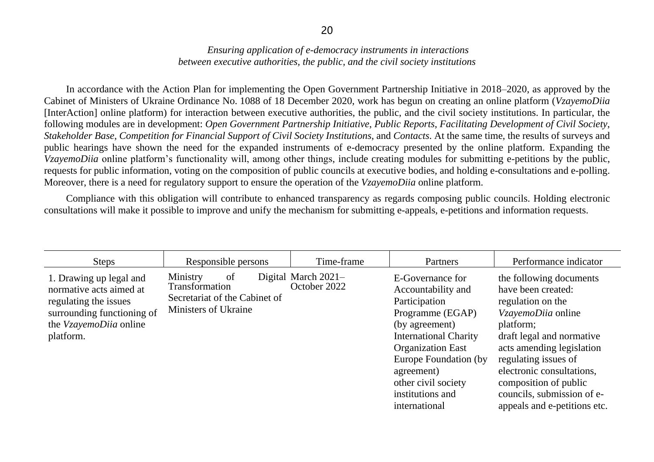## *Ensuring application of e-democracy instruments in interactions between executive authorities, the public, and the civil society institutions*

In accordance with the Action Plan for implementing the Open Government Partnership Initiative in 2018–2020, as approved by the Cabinet of Ministers of Ukraine Ordinance No. 1088 of 18 December 2020, work has begun on creating an online platform (*VzayemoDiia*  [InterAction] online platform) for interaction between executive authorities, the public, and the civil society institutions. In particular, the following modules are in development: *Open Government Partnership Initiative*, *Public Reports*, *Facilitating Development of Civil Society*, *Stakeholder Base*, *Competition for Financial Support of Civil Society Institutions*, and *Contacts*. At the same time, the results of surveys and public hearings have shown the need for the expanded instruments of e-democracy presented by the online platform. Expanding the *VzayemoDiia* online platform's functionality will, among other things, include creating modules for submitting e-petitions by the public, requests for public information, voting on the composition of public councils at executive bodies, and holding e-consultations and e-polling. Moreover, there is a need for regulatory support to ensure the operation of the *VzayemoDiia* online platform.

Compliance with this obligation will contribute to enhanced transparency as regards composing public councils. Holding electronic consultations will make it possible to improve and unify the mechanism for submitting e-appeals, e-petitions and information requests.

| <b>Steps</b>                                                                                                                                     | Responsible persons                                                                       | Time-frame                            | Partners                                                                                                                                                                                                                                                     | Performance indicator                                                                                                                                                                                                                                                                                       |
|--------------------------------------------------------------------------------------------------------------------------------------------------|-------------------------------------------------------------------------------------------|---------------------------------------|--------------------------------------------------------------------------------------------------------------------------------------------------------------------------------------------------------------------------------------------------------------|-------------------------------------------------------------------------------------------------------------------------------------------------------------------------------------------------------------------------------------------------------------------------------------------------------------|
| 1. Drawing up legal and<br>normative acts aimed at<br>regulating the issues<br>surrounding functioning of<br>the VzayemoDiia online<br>platform. | of<br>Ministry<br>Transformation<br>Secretariat of the Cabinet of<br>Ministers of Ukraine | Digital March $2021-$<br>October 2022 | E-Governance for<br>Accountability and<br>Participation<br>Programme (EGAP)<br>(by agreement)<br><b>International Charity</b><br><b>Organization East</b><br>Europe Foundation (by<br>agreement)<br>other civil society<br>institutions and<br>international | the following documents<br>have been created:<br>regulation on the<br>VzayemoDiia online<br>platform;<br>draft legal and normative<br>acts amending legislation<br>regulating issues of<br>electronic consultations,<br>composition of public<br>councils, submission of e-<br>appeals and e-petitions etc. |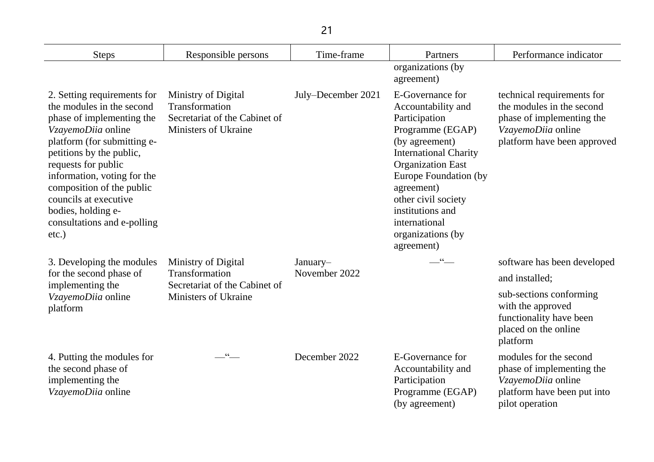| 21                                                                                                                                                                                                                                                                                                                                               |                                                                                                |                    |                                                                                                                                                                                                                                                                                                 |                                                                                                                                           |
|--------------------------------------------------------------------------------------------------------------------------------------------------------------------------------------------------------------------------------------------------------------------------------------------------------------------------------------------------|------------------------------------------------------------------------------------------------|--------------------|-------------------------------------------------------------------------------------------------------------------------------------------------------------------------------------------------------------------------------------------------------------------------------------------------|-------------------------------------------------------------------------------------------------------------------------------------------|
| <b>Steps</b>                                                                                                                                                                                                                                                                                                                                     | Responsible persons                                                                            | Time-frame         | Partners                                                                                                                                                                                                                                                                                        | Performance indicator                                                                                                                     |
|                                                                                                                                                                                                                                                                                                                                                  |                                                                                                |                    | organizations (by<br>agreement)                                                                                                                                                                                                                                                                 |                                                                                                                                           |
| 2. Setting requirements for<br>the modules in the second<br>phase of implementing the<br>VzayemoDiia online<br>platform (for submitting e-<br>petitions by the public,<br>requests for public<br>information, voting for the<br>composition of the public<br>councils at executive<br>bodies, holding e-<br>consultations and e-polling<br>etc.) | Ministry of Digital<br>Transformation<br>Secretariat of the Cabinet of<br>Ministers of Ukraine | July–December 2021 | E-Governance for<br>Accountability and<br>Participation<br>Programme (EGAP)<br>(by agreement)<br><b>International Charity</b><br><b>Organization East</b><br>Europe Foundation (by<br>agreement)<br>other civil society<br>institutions and<br>international<br>organizations (by<br>agreement) | technical requirements for<br>the modules in the second<br>phase of implementing the<br>VzayemoDiia online<br>platform have been approved |
| 3. Developing the modules                                                                                                                                                                                                                                                                                                                        | Ministry of Digital                                                                            | January-           | $66 -$                                                                                                                                                                                                                                                                                          | software has been developed                                                                                                               |
| for the second phase of<br>implementing the                                                                                                                                                                                                                                                                                                      | Transformation<br>Secretariat of the Cabinet of                                                | November 2022      |                                                                                                                                                                                                                                                                                                 | and installed;                                                                                                                            |
| VzayemoDiia online<br>platform                                                                                                                                                                                                                                                                                                                   | Ministers of Ukraine                                                                           |                    |                                                                                                                                                                                                                                                                                                 | sub-sections conforming<br>with the approved<br>functionality have been<br>placed on the online<br>platform                               |
| 4. Putting the modules for<br>the second phase of<br>implementing the<br>VzayemoDiia online                                                                                                                                                                                                                                                      |                                                                                                | December 2022      | E-Governance for<br>Accountability and<br>Participation<br>Programme (EGAP)<br>(by agreement)                                                                                                                                                                                                   | modules for the second<br>phase of implementing the<br>VzayemoDiia online<br>platform have been put into<br>pilot operation               |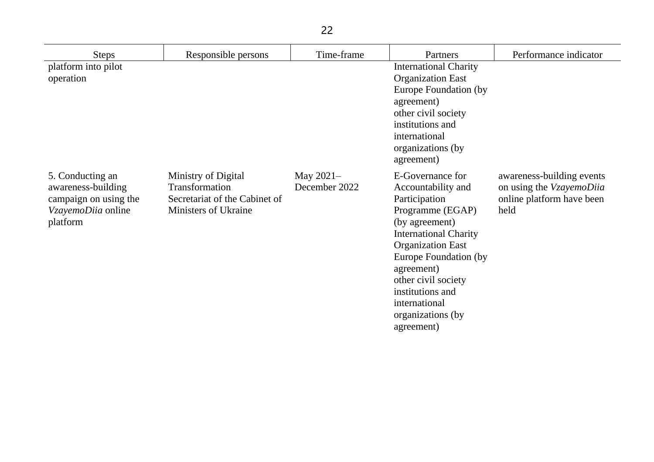| <b>Steps</b>                                                                                      | Responsible persons                                                                            | Time-frame                   | Partners                                                                                                                                                                                                                                                                                        | Performance indicator                                                                      |
|---------------------------------------------------------------------------------------------------|------------------------------------------------------------------------------------------------|------------------------------|-------------------------------------------------------------------------------------------------------------------------------------------------------------------------------------------------------------------------------------------------------------------------------------------------|--------------------------------------------------------------------------------------------|
| platform into pilot<br>operation                                                                  |                                                                                                |                              | <b>International Charity</b><br><b>Organization East</b><br>Europe Foundation (by<br>agreement)<br>other civil society<br>institutions and<br>international<br>organizations (by<br>agreement)                                                                                                  |                                                                                            |
| 5. Conducting an<br>awareness-building<br>campaign on using the<br>VzayemoDiia online<br>platform | Ministry of Digital<br>Transformation<br>Secretariat of the Cabinet of<br>Ministers of Ukraine | May $2021-$<br>December 2022 | E-Governance for<br>Accountability and<br>Participation<br>Programme (EGAP)<br>(by agreement)<br><b>International Charity</b><br><b>Organization East</b><br>Europe Foundation (by<br>agreement)<br>other civil society<br>institutions and<br>international<br>organizations (by<br>agreement) | awareness-building events<br>on using the VzayemoDiia<br>online platform have been<br>held |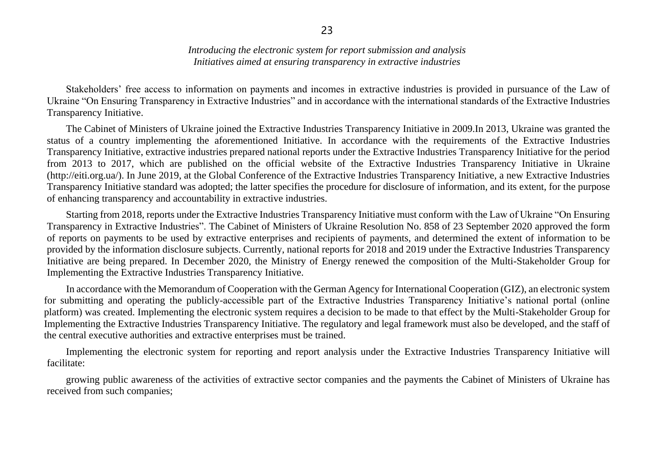*Introducing the electronic system for report submission and analysis Initiatives aimed at ensuring transparency in extractive industries*

Stakeholders' free access to information on payments and incomes in extractive industries is provided in pursuance of the Law of Ukraine "On Ensuring Transparency in Extractive Industries" and in accordance with the international standards of the Extractive Industries Transparency Initiative.

The Cabinet of Ministers of Ukraine joined the Extractive Industries Transparency Initiative in 2009.In 2013, Ukraine was granted the status of a country implementing the aforementioned Initiative. In accordance with the requirements of the Extractive Industries Transparency Initiative, extractive industries prepared national reports under the Extractive Industries Transparency Initiative for the period from 2013 to 2017, which are published on the official website of the Extractive Industries Transparency Initiative in Ukraine (http://eiti.org.ua/). In June 2019, at the Global Conference of the Extractive Industries Transparency Initiative, a new Extractive Industries Transparency Initiative standard was adopted; the latter specifies the procedure for disclosure of information, and its extent, for the purpose of enhancing transparency and accountability in extractive industries.

Starting from 2018, reports under the Extractive Industries Transparency Initiative must conform with the Law of Ukraine "On Ensuring Transparency in Extractive Industries". The Cabinet of Ministers of Ukraine Resolution No. 858 of 23 September 2020 approved the form of reports on payments to be used by extractive enterprises and recipients of payments, and determined the extent of information to be provided by the information disclosure subjects. Currently, national reports for 2018 and 2019 under the Extractive Industries Transparency Initiative are being prepared. In December 2020, the Ministry of Energy renewed the composition of the Multi-Stakeholder Group for Implementing the Extractive Industries Transparency Initiative.

In accordance with the Memorandum of Cooperation with the German Agency for International Cooperation (GIZ), an electronic system for submitting and operating the publicly-accessible part of the Extractive Industries Transparency Initiative's national portal (online platform) was created. Implementing the electronic system requires a decision to be made to that effect by the Multi-Stakeholder Group for Implementing the Extractive Industries Transparency Initiative. The regulatory and legal framework must also be developed, and the staff of the central executive authorities and extractive enterprises must be trained.

Implementing the electronic system for reporting and report analysis under the Extractive Industries Transparency Initiative will facilitate:

growing public awareness of the activities of extractive sector companies and the payments the Cabinet of Ministers of Ukraine has received from such companies;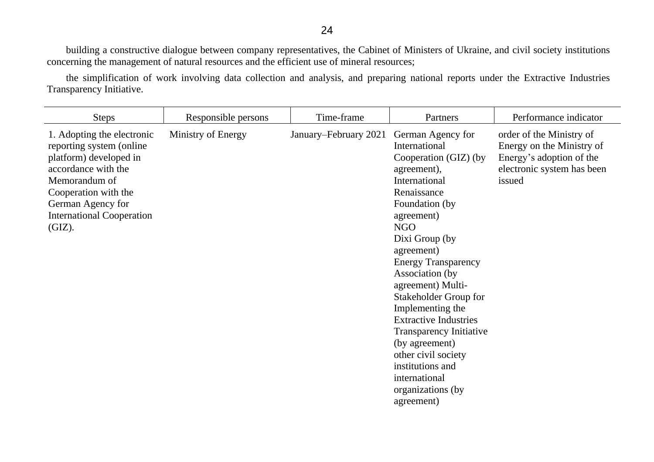building a constructive dialogue between company representatives, the Cabinet of Ministers of Ukraine, and civil society institutions concerning the management of natural resources and the efficient use of mineral resources;

the simplification of work involving data collection and analysis, and preparing national reports under the Extractive Industries Transparency Initiative.

| <b>Steps</b>                                                                                                                                                                                                         | Responsible persons | Time-frame            | Partners                                                                                                                                                                                                                                                                                                                                                                                                                                                                                | Performance indicator                                                                                                     |
|----------------------------------------------------------------------------------------------------------------------------------------------------------------------------------------------------------------------|---------------------|-----------------------|-----------------------------------------------------------------------------------------------------------------------------------------------------------------------------------------------------------------------------------------------------------------------------------------------------------------------------------------------------------------------------------------------------------------------------------------------------------------------------------------|---------------------------------------------------------------------------------------------------------------------------|
| 1. Adopting the electronic<br>reporting system (online)<br>platform) developed in<br>accordance with the<br>Memorandum of<br>Cooperation with the<br>German Agency for<br><b>International Cooperation</b><br>(GIZ). | Ministry of Energy  | January-February 2021 | German Agency for<br>International<br>Cooperation (GIZ) (by<br>agreement),<br>International<br>Renaissance<br>Foundation (by<br>agreement)<br>NGO<br>Dixi Group (by<br>agreement)<br><b>Energy Transparency</b><br>Association (by<br>agreement) Multi-<br>Stakeholder Group for<br>Implementing the<br><b>Extractive Industries</b><br><b>Transparency Initiative</b><br>(by agreement)<br>other civil society<br>institutions and<br>international<br>organizations (by<br>agreement) | order of the Ministry of<br>Energy on the Ministry of<br>Energy's adoption of the<br>electronic system has been<br>issued |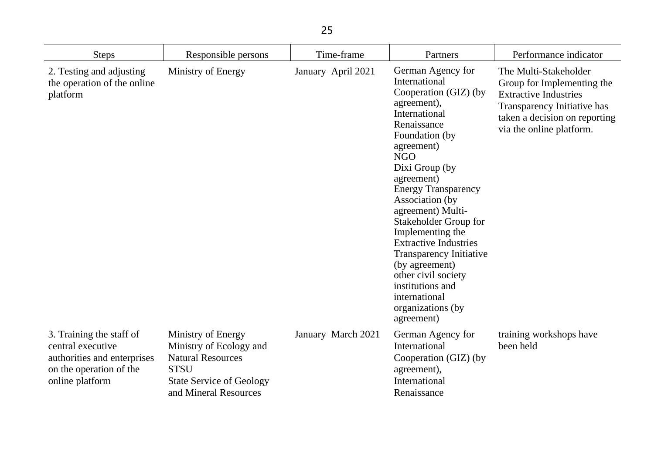| <b>Steps</b>                                                                                                               | Responsible persons                                                                                                                                  | Time-frame         | Partners                                                                                                                                                                                                                                                                                                                                                                                                                                                                                       | Performance indicator                                                                                                                                                           |
|----------------------------------------------------------------------------------------------------------------------------|------------------------------------------------------------------------------------------------------------------------------------------------------|--------------------|------------------------------------------------------------------------------------------------------------------------------------------------------------------------------------------------------------------------------------------------------------------------------------------------------------------------------------------------------------------------------------------------------------------------------------------------------------------------------------------------|---------------------------------------------------------------------------------------------------------------------------------------------------------------------------------|
| 2. Testing and adjusting<br>the operation of the online<br>platform                                                        | Ministry of Energy                                                                                                                                   | January-April 2021 | German Agency for<br>International<br>Cooperation (GIZ) (by<br>agreement),<br>International<br>Renaissance<br>Foundation (by<br>agreement)<br><b>NGO</b><br>Dixi Group (by<br>agreement)<br><b>Energy Transparency</b><br>Association (by<br>agreement) Multi-<br>Stakeholder Group for<br>Implementing the<br><b>Extractive Industries</b><br><b>Transparency Initiative</b><br>(by agreement)<br>other civil society<br>institutions and<br>international<br>organizations (by<br>agreement) | The Multi-Stakeholder<br>Group for Implementing the<br><b>Extractive Industries</b><br>Transparency Initiative has<br>taken a decision on reporting<br>via the online platform. |
| 3. Training the staff of<br>central executive<br>authorities and enterprises<br>on the operation of the<br>online platform | Ministry of Energy<br>Ministry of Ecology and<br><b>Natural Resources</b><br><b>STSU</b><br><b>State Service of Geology</b><br>and Mineral Resources | January-March 2021 | German Agency for<br>International<br>Cooperation (GIZ) (by<br>agreement),<br>International<br>Renaissance                                                                                                                                                                                                                                                                                                                                                                                     | training workshops have<br>been held                                                                                                                                            |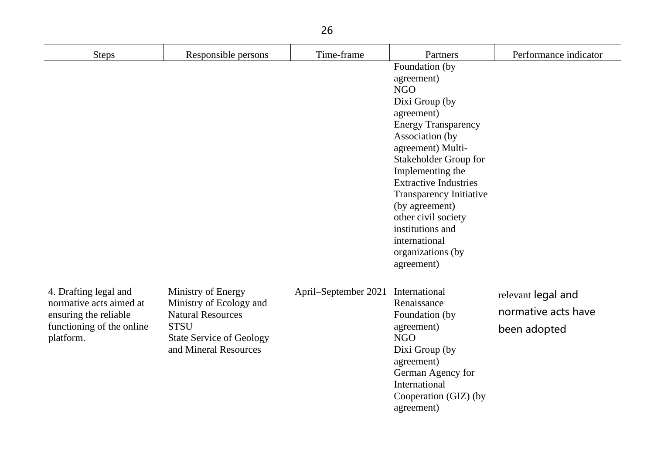| 26                                                                                                                  |                                                                                                                                                      |                                    |                                                                                                                                                                                                                                                                                                                                                                                  |                                                           |
|---------------------------------------------------------------------------------------------------------------------|------------------------------------------------------------------------------------------------------------------------------------------------------|------------------------------------|----------------------------------------------------------------------------------------------------------------------------------------------------------------------------------------------------------------------------------------------------------------------------------------------------------------------------------------------------------------------------------|-----------------------------------------------------------|
| <b>Steps</b>                                                                                                        | Responsible persons                                                                                                                                  | Time-frame                         | Partners                                                                                                                                                                                                                                                                                                                                                                         | Performance indicator                                     |
|                                                                                                                     |                                                                                                                                                      |                                    | Foundation (by<br>agreement)<br><b>NGO</b><br>Dixi Group (by<br>agreement)<br><b>Energy Transparency</b><br>Association (by<br>agreement) Multi-<br>Stakeholder Group for<br>Implementing the<br><b>Extractive Industries</b><br><b>Transparency Initiative</b><br>(by agreement)<br>other civil society<br>institutions and<br>international<br>organizations (by<br>agreement) |                                                           |
| 4. Drafting legal and<br>normative acts aimed at<br>ensuring the reliable<br>functioning of the online<br>platform. | Ministry of Energy<br>Ministry of Ecology and<br><b>Natural Resources</b><br><b>STSU</b><br><b>State Service of Geology</b><br>and Mineral Resources | April–September 2021 International | Renaissance<br>Foundation (by<br>agreement)<br><b>NGO</b><br>Dixi Group (by<br>agreement)<br>German Agency for<br>International<br>Cooperation (GIZ) (by<br>agreement)                                                                                                                                                                                                           | relevant legal and<br>normative acts have<br>been adopted |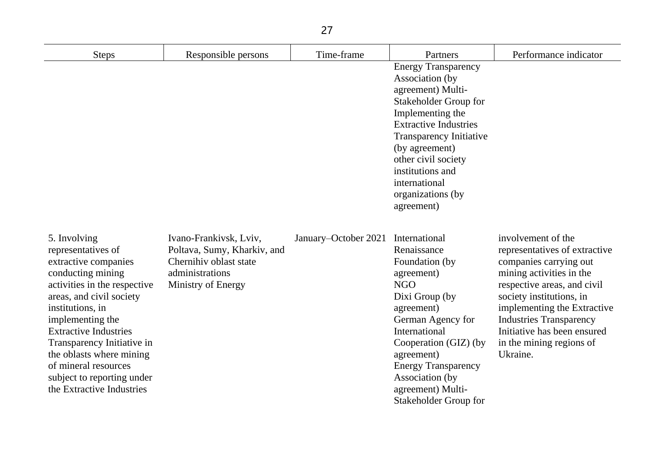| <b>Steps</b>                                                                                                                                                                                                                                                                                                                                                     | Responsible persons                                                                                                      | Time-frame           | Partners                                                                                                                                                                                                                                                                                           | Performance indicator                                                                                                                                                                                                                                                                                        |
|------------------------------------------------------------------------------------------------------------------------------------------------------------------------------------------------------------------------------------------------------------------------------------------------------------------------------------------------------------------|--------------------------------------------------------------------------------------------------------------------------|----------------------|----------------------------------------------------------------------------------------------------------------------------------------------------------------------------------------------------------------------------------------------------------------------------------------------------|--------------------------------------------------------------------------------------------------------------------------------------------------------------------------------------------------------------------------------------------------------------------------------------------------------------|
|                                                                                                                                                                                                                                                                                                                                                                  |                                                                                                                          |                      | <b>Energy Transparency</b><br>Association (by<br>agreement) Multi-<br>Stakeholder Group for<br>Implementing the<br><b>Extractive Industries</b><br><b>Transparency Initiative</b><br>(by agreement)<br>other civil society<br>institutions and<br>international<br>organizations (by<br>agreement) |                                                                                                                                                                                                                                                                                                              |
| 5. Involving<br>representatives of<br>extractive companies<br>conducting mining<br>activities in the respective<br>areas, and civil society<br>institutions, in<br>implementing the<br><b>Extractive Industries</b><br>Transparency Initiative in<br>the oblasts where mining<br>of mineral resources<br>subject to reporting under<br>the Extractive Industries | Ivano-Frankivsk, Lviv,<br>Poltava, Sumy, Kharkiv, and<br>Chernihiv oblast state<br>administrations<br>Ministry of Energy | January–October 2021 | International<br>Renaissance<br>Foundation (by<br>agreement)<br><b>NGO</b><br>Dixi Group (by<br>agreement)<br>German Agency for<br>International<br>Cooperation (GIZ) (by<br>agreement)<br><b>Energy Transparency</b><br>Association (by<br>agreement) Multi-<br>Stakeholder Group for             | involvement of the<br>representatives of extractive<br>companies carrying out<br>mining activities in the<br>respective areas, and civil<br>society institutions, in<br>implementing the Extractive<br><b>Industries Transparency</b><br>Initiative has been ensured<br>in the mining regions of<br>Ukraine. |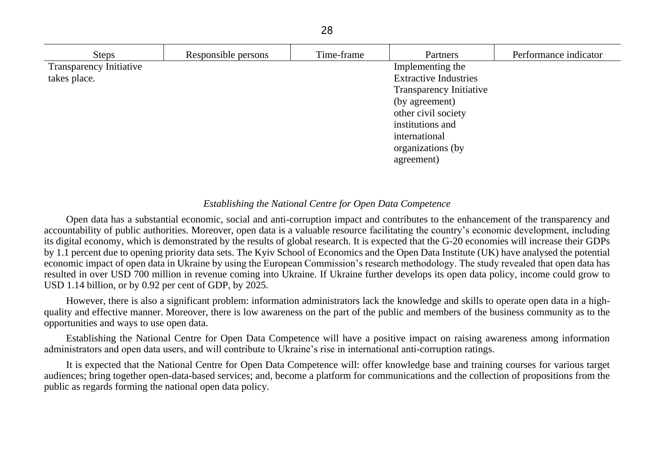| <b>Steps</b>                   | Responsible persons | Time-frame | Partners                       | Performance indicator |
|--------------------------------|---------------------|------------|--------------------------------|-----------------------|
| <b>Transparency Initiative</b> |                     |            | Implementing the               |                       |
| takes place.                   |                     |            | <b>Extractive Industries</b>   |                       |
|                                |                     |            | <b>Transparency Initiative</b> |                       |
|                                |                     |            | (by agreement)                 |                       |
|                                |                     |            | other civil society            |                       |
|                                |                     |            | institutions and               |                       |
|                                |                     |            | international                  |                       |
|                                |                     |            | organizations (by              |                       |
|                                |                     |            | agreement)                     |                       |

### *Establishing the National Centre for Open Data Competence*

Open data has a substantial economic, social and anti-corruption impact and contributes to the enhancement of the transparency and accountability of public authorities. Moreover, open data is a valuable resource facilitating the country's economic development, including its digital economy, which is demonstrated by the results of global research. It is expected that the G-20 economies will increase their GDPs by 1.1 percent due to opening priority data sets. The Kyiv School of Economics and the Open Data Institute (UK) have analysed the potential economic impact of open data in Ukraine by using the European Commission's research methodology. The study revealed that open data has resulted in over USD 700 million in revenue coming into Ukraine. If Ukraine further develops its open data policy, income could grow to USD 1.14 billion, or by 0.92 per cent of GDP, by 2025.

However, there is also a significant problem: information administrators lack the knowledge and skills to operate open data in a highquality and effective manner. Moreover, there is low awareness on the part of the public and members of the business community as to the opportunities and ways to use open data.

Establishing the National Centre for Open Data Competence will have a positive impact on raising awareness among information administrators and open data users, and will contribute to Ukraine's rise in international anti-corruption ratings.

It is expected that the National Centre for Open Data Competence will: offer knowledge base and training courses for various target audiences; bring together open-data-based services; and, become a platform for communications and the collection of propositions from the public as regards forming the national open data policy.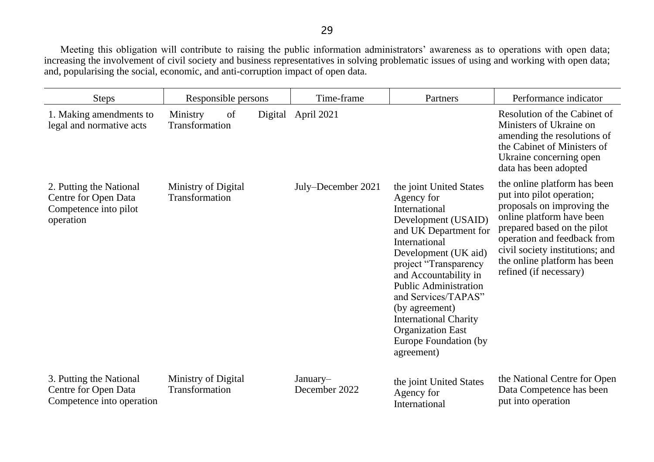Meeting this obligation will contribute to raising the public information administrators' awareness as to operations with open data; increasing the involvement of civil society and business representatives in solving problematic issues of using and working with open data; and, popularising the social, economic, and anti-corruption impact of open data.

| <b>Steps</b>                                                                          | Responsible persons                         | Time-frame                | Partners                                                                                                                                                                                                                                                                                                                                                                      | Performance indicator                                                                                                                                                                                                                                                           |
|---------------------------------------------------------------------------------------|---------------------------------------------|---------------------------|-------------------------------------------------------------------------------------------------------------------------------------------------------------------------------------------------------------------------------------------------------------------------------------------------------------------------------------------------------------------------------|---------------------------------------------------------------------------------------------------------------------------------------------------------------------------------------------------------------------------------------------------------------------------------|
| 1. Making amendments to<br>legal and normative acts                                   | Ministry<br>of<br>Digital<br>Transformation | April 2021                |                                                                                                                                                                                                                                                                                                                                                                               | Resolution of the Cabinet of<br>Ministers of Ukraine on<br>amending the resolutions of<br>the Cabinet of Ministers of<br>Ukraine concerning open<br>data has been adopted                                                                                                       |
| 2. Putting the National<br>Centre for Open Data<br>Competence into pilot<br>operation | Ministry of Digital<br>Transformation       | July–December 2021        | the joint United States<br>Agency for<br>International<br>Development (USAID)<br>and UK Department for<br>International<br>Development (UK aid)<br>project "Transparency<br>and Accountability in<br><b>Public Administration</b><br>and Services/TAPAS"<br>(by agreement)<br><b>International Charity</b><br><b>Organization East</b><br>Europe Foundation (by<br>agreement) | the online platform has been<br>put into pilot operation;<br>proposals on improving the<br>online platform have been<br>prepared based on the pilot<br>operation and feedback from<br>civil society institutions; and<br>the online platform has been<br>refined (if necessary) |
| 3. Putting the National<br>Centre for Open Data<br>Competence into operation          | Ministry of Digital<br>Transformation       | January-<br>December 2022 | the joint United States<br>Agency for<br>International                                                                                                                                                                                                                                                                                                                        | the National Centre for Open<br>Data Competence has been<br>put into operation                                                                                                                                                                                                  |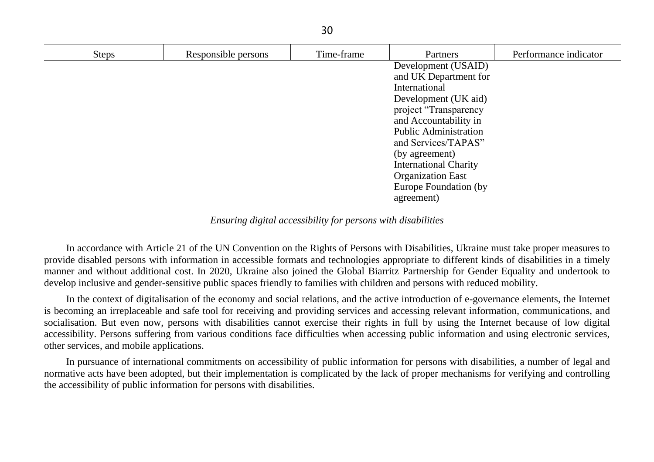| <b>Steps</b> | Responsible persons | Time-frame | Partners                     | Performance indicator |
|--------------|---------------------|------------|------------------------------|-----------------------|
|              |                     |            | Development (USAID)          |                       |
|              |                     |            | and UK Department for        |                       |
|              |                     |            | International                |                       |
|              |                     |            | Development (UK aid)         |                       |
|              |                     |            | project "Transparency        |                       |
|              |                     |            | and Accountability in        |                       |
|              |                     |            | <b>Public Administration</b> |                       |
|              |                     |            | and Services/TAPAS"          |                       |
|              |                     |            | (by agreement)               |                       |
|              |                     |            | <b>International Charity</b> |                       |
|              |                     |            | <b>Organization East</b>     |                       |
|              |                     |            | Europe Foundation (by        |                       |
|              |                     |            | agreement)                   |                       |
|              |                     |            |                              |                       |

*Ensuring digital accessibility for persons with disabilities*

In accordance with Article 21 of the UN Convention on the Rights of Persons with Disabilities, Ukraine must take proper measures to provide disabled persons with information in accessible formats and technologies appropriate to different kinds of disabilities in a timely manner and without additional cost. In 2020, Ukraine also joined the Global Biarritz Partnership for Gender Equality and undertook to develop inclusive and gender-sensitive public spaces friendly to families with children and persons with reduced mobility.

In the context of digitalisation of the economy and social relations, and the active introduction of e-governance elements, the Internet is becoming an irreplaceable and safe tool for receiving and providing services and accessing relevant information, communications, and socialisation. But even now, persons with disabilities cannot exercise their rights in full by using the Internet because of low digital accessibility. Persons suffering from various conditions face difficulties when accessing public information and using electronic services, other services, and mobile applications.

In pursuance of international commitments on accessibility of public information for persons with disabilities, a number of legal and normative acts have been adopted, but their implementation is complicated by the lack of proper mechanisms for verifying and controlling the accessibility of public information for persons with disabilities.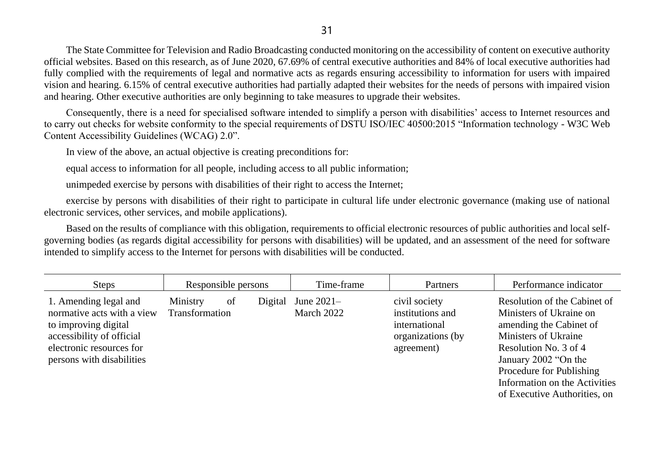The State Committee for Television and Radio Broadcasting conducted monitoring on the accessibility of content on executive authority official websites. Based on this research, as of June 2020, 67.69% of central executive authorities and 84% of local executive authorities had fully complied with the requirements of legal and normative acts as regards ensuring accessibility to information for users with impaired vision and hearing. 6.15% of central executive authorities had partially adapted their websites for the needs of persons with impaired vision and hearing. Other executive authorities are only beginning to take measures to upgrade their websites.

Consequently, there is a need for specialised software intended to simplify a person with disabilities' access to Internet resources and to carry out checks for website conformity to the special requirements of DSTU ISO/IEC 40500:2015 "Information technology - W3C Web Content Accessibility Guidelines (WCAG) 2.0".

In view of the above, an actual objective is creating preconditions for:

equal access to information for all people, including access to all public information;

unimpeded exercise by persons with disabilities of their right to access the Internet;

exercise by persons with disabilities of their right to participate in cultural life under electronic governance (making use of national electronic services, other services, and mobile applications).

Based on the results of compliance with this obligation, requirements to official electronic resources of public authorities and local selfgoverning bodies (as regards digital accessibility for persons with disabilities) will be updated, and an assessment of the need for software intended to simplify access to the Internet for persons with disabilities will be conducted.

| <b>Steps</b>                                                                                                                                                      |                            | Responsible persons | Time-frame                 | Partners                                                                              | Performance indicator                                                                                                                                                                                                                                    |
|-------------------------------------------------------------------------------------------------------------------------------------------------------------------|----------------------------|---------------------|----------------------------|---------------------------------------------------------------------------------------|----------------------------------------------------------------------------------------------------------------------------------------------------------------------------------------------------------------------------------------------------------|
| 1. Amending legal and<br>normative acts with a view<br>to improving digital<br>accessibility of official<br>electronic resources for<br>persons with disabilities | Ministry<br>Transformation | of<br>Digital       | June $2021-$<br>March 2022 | civil society<br>institutions and<br>international<br>organizations (by<br>agreement) | Resolution of the Cabinet of<br>Ministers of Ukraine on<br>amending the Cabinet of<br>Ministers of Ukraine<br>Resolution No. 3 of 4<br>January 2002 "On the<br>Procedure for Publishing<br>Information on the Activities<br>of Executive Authorities, on |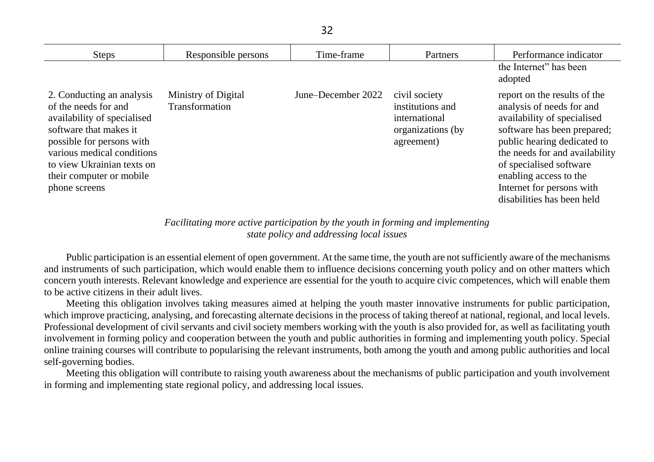| <b>Steps</b>                                                                                                                                                                                                                                     | Responsible persons                   | Time-frame         | Partners                                                                              | Performance indicator                                                                                                                                                                                                                                                                                    |
|--------------------------------------------------------------------------------------------------------------------------------------------------------------------------------------------------------------------------------------------------|---------------------------------------|--------------------|---------------------------------------------------------------------------------------|----------------------------------------------------------------------------------------------------------------------------------------------------------------------------------------------------------------------------------------------------------------------------------------------------------|
|                                                                                                                                                                                                                                                  |                                       |                    |                                                                                       | the Internet" has been<br>adopted                                                                                                                                                                                                                                                                        |
| 2. Conducting an analysis<br>of the needs for and<br>availability of specialised<br>software that makes it<br>possible for persons with<br>various medical conditions<br>to view Ukrainian texts on<br>their computer or mobile<br>phone screens | Ministry of Digital<br>Transformation | June–December 2022 | civil society<br>institutions and<br>international<br>organizations (by<br>agreement) | report on the results of the<br>analysis of needs for and<br>availability of specialised<br>software has been prepared;<br>public hearing dedicated to<br>the needs for and availability<br>of specialised software<br>enabling access to the<br>Internet for persons with<br>disabilities has been held |

*Facilitating more active participation by the youth in forming and implementing state policy and addressing local issues*

Public participation is an essential element of open government. At the same time, the youth are not sufficiently aware of the mechanisms and instruments of such participation, which would enable them to influence decisions concerning youth policy and on other matters which concern youth interests. Relevant knowledge and experience are essential for the youth to acquire civic competences, which will enable them to be active citizens in their adult lives.

Meeting this obligation involves taking measures aimed at helping the youth master innovative instruments for public participation, which improve practicing, analysing, and forecasting alternate decisions in the process of taking thereof at national, regional, and local levels. Professional development of civil servants and civil society members working with the youth is also provided for, as well as facilitating youth involvement in forming policy and cooperation between the youth and public authorities in forming and implementing youth policy. Special online training courses will contribute to popularising the relevant instruments, both among the youth and among public authorities and local self-governing bodies.

Meeting this obligation will contribute to raising youth awareness about the mechanisms of public participation and youth involvement in forming and implementing state regional policy, and addressing local issues.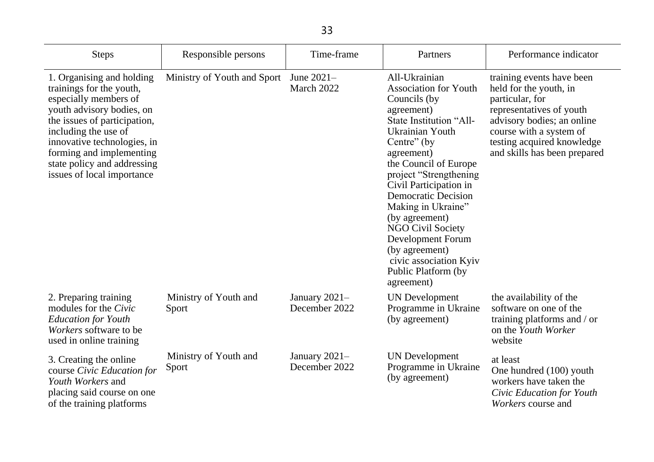| Steps                                                                                                                                                                                                                                                                                       | Responsible persons            | Time-frame                       | Partners                                                                                                                                                                                                                                                                                                                                                                                                                                            | Performance indicator                                                                                                                                                                                                     |
|---------------------------------------------------------------------------------------------------------------------------------------------------------------------------------------------------------------------------------------------------------------------------------------------|--------------------------------|----------------------------------|-----------------------------------------------------------------------------------------------------------------------------------------------------------------------------------------------------------------------------------------------------------------------------------------------------------------------------------------------------------------------------------------------------------------------------------------------------|---------------------------------------------------------------------------------------------------------------------------------------------------------------------------------------------------------------------------|
| 1. Organising and holding<br>trainings for the youth,<br>especially members of<br>youth advisory bodies, on<br>the issues of participation,<br>including the use of<br>innovative technologies, in<br>forming and implementing<br>state policy and addressing<br>issues of local importance | Ministry of Youth and Sport    | June 2021-<br>March 2022         | All-Ukrainian<br><b>Association for Youth</b><br>Councils (by)<br>agreement)<br>State Institution "All-<br>Ukrainian Youth<br>Centre" (by<br>agreement)<br>the Council of Europe<br>project "Strengthening<br>Civil Participation in<br><b>Democratic Decision</b><br>Making in Ukraine"<br>(by agreement)<br><b>NGO Civil Society</b><br><b>Development Forum</b><br>(by agreement)<br>civic association Kyiv<br>Public Platform (by<br>agreement) | training events have been<br>held for the youth, in<br>particular, for<br>representatives of youth<br>advisory bodies; an online<br>course with a system of<br>testing acquired knowledge<br>and skills has been prepared |
| 2. Preparing training<br>modules for the Civic<br><b>Education for Youth</b><br>Workers software to be<br>used in online training                                                                                                                                                           | Ministry of Youth and<br>Sport | January $2021-$<br>December 2022 | <b>UN</b> Development<br>Programme in Ukraine<br>(by agreement)                                                                                                                                                                                                                                                                                                                                                                                     | the availability of the<br>software on one of the<br>training platforms and / or<br>on the Youth Worker<br>website                                                                                                        |
| 3. Creating the online<br>course Civic Education for<br>Youth Workers and<br>placing said course on one<br>of the training platforms                                                                                                                                                        | Ministry of Youth and<br>Sport | January 2021-<br>December 2022   | <b>UN</b> Development<br>Programme in Ukraine<br>(by agreement)                                                                                                                                                                                                                                                                                                                                                                                     | at least<br>One hundred (100) youth<br>workers have taken the<br>Civic Education for Youth<br><i>Workers</i> course and                                                                                                   |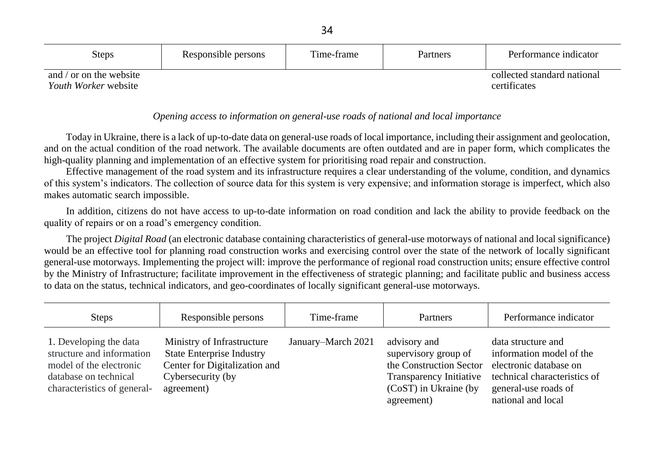| <b>Steps</b>                | Responsible persons | Time-frame | Partners | Performance indicator       |
|-----------------------------|---------------------|------------|----------|-----------------------------|
| and / or on the website     |                     |            |          | collected standard national |
| <i>Youth Worker</i> website |                     |            |          | certificates                |

## *Opening access to information on general-use roads of national and local importance*

Today in Ukraine, there is a lack of up-to-date data on general-use roads of local importance, including their assignment and geolocation, and on the actual condition of the road network. The available documents are often outdated and are in paper form, which complicates the high-quality planning and implementation of an effective system for prioritising road repair and construction.

Effective management of the road system and its infrastructure requires a clear understanding of the volume, condition, and dynamics of this system's indicators. The collection of source data for this system is very expensive; and information storage is imperfect, which also makes automatic search impossible.

In addition, citizens do not have access to up-to-date information on road condition and lack the ability to provide feedback on the quality of repairs or on a road's emergency condition.

The project *Digital Road* (an electronic database containing characteristics of general-use motorways of national and local significance) would be an effective tool for planning road construction works and exercising control over the state of the network of locally significant general-use motorways. Implementing the project will: improve the performance of regional road construction units; ensure effective control by the Ministry of Infrastructure; facilitate improvement in the effectiveness of strategic planning; and facilitate public and business access to data on the status, technical indicators, and geo-coordinates of locally significant general-use motorways.

| <b>Steps</b>                                                                                                                           | Responsible persons                                                                                                                | Time-frame         | Partners                                                                                                                                 | Performance indicator                                                                                                                                  |
|----------------------------------------------------------------------------------------------------------------------------------------|------------------------------------------------------------------------------------------------------------------------------------|--------------------|------------------------------------------------------------------------------------------------------------------------------------------|--------------------------------------------------------------------------------------------------------------------------------------------------------|
| 1. Developing the data<br>structure and information<br>model of the electronic<br>database on technical<br>characteristics of general- | Ministry of Infrastructure<br><b>State Enterprise Industry</b><br>Center for Digitalization and<br>Cybersecurity (by<br>agreement) | January–March 2021 | advisory and<br>supervisory group of<br>the Construction Sector<br><b>Transparency Initiative</b><br>(CoST) in Ukraine (by<br>agreement) | data structure and<br>information model of the<br>electronic database on<br>technical characteristics of<br>general-use roads of<br>national and local |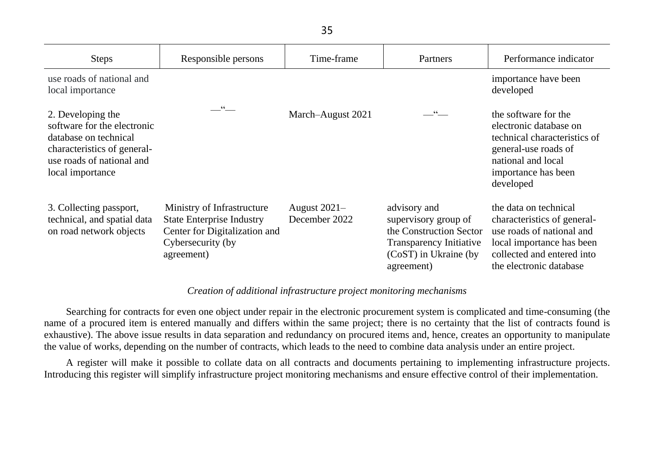| <b>Steps</b>                                                                                                                                              | Responsible persons                                                                                                                | Time-frame                      | Partners                                                                                                                                   | Performance indicator                                                                                                                                                   |
|-----------------------------------------------------------------------------------------------------------------------------------------------------------|------------------------------------------------------------------------------------------------------------------------------------|---------------------------------|--------------------------------------------------------------------------------------------------------------------------------------------|-------------------------------------------------------------------------------------------------------------------------------------------------------------------------|
| use roads of national and<br>local importance                                                                                                             |                                                                                                                                    |                                 |                                                                                                                                            | importance have been<br>developed                                                                                                                                       |
| 2. Developing the<br>software for the electronic<br>database on technical<br>characteristics of general-<br>use roads of national and<br>local importance | $\overbrace{\phantom{134521}}^{\mathfrak{c}\mathfrak{c}}$                                                                          | March-August 2021               |                                                                                                                                            | the software for the<br>electronic database on<br>technical characteristics of<br>general-use roads of<br>national and local<br>importance has been<br>developed        |
| 3. Collecting passport,<br>technical, and spatial data<br>on road network objects                                                                         | Ministry of Infrastructure<br><b>State Enterprise Industry</b><br>Center for Digitalization and<br>Cybersecurity (by<br>agreement) | August $2021-$<br>December 2022 | advisory and<br>supervisory group of<br>the Construction Sector<br><b>Transparency Initiative</b><br>$(CoST)$ in Ukraine (by<br>agreement) | the data on technical<br>characteristics of general-<br>use roads of national and<br>local importance has been<br>collected and entered into<br>the electronic database |

## *Creation of additional infrastructure project monitoring mechanisms*

Searching for contracts for even one object under repair in the electronic procurement system is complicated and time-consuming (the name of a procured item is entered manually and differs within the same project; there is no certainty that the list of contracts found is exhaustive). The above issue results in data separation and redundancy on procured items and, hence, creates an opportunity to manipulate the value of works, depending on the number of contracts, which leads to the need to combine data analysis under an entire project.

A register will make it possible to collate data on all contracts and documents pertaining to implementing infrastructure projects. Introducing this register will simplify infrastructure project monitoring mechanisms and ensure effective control of their implementation.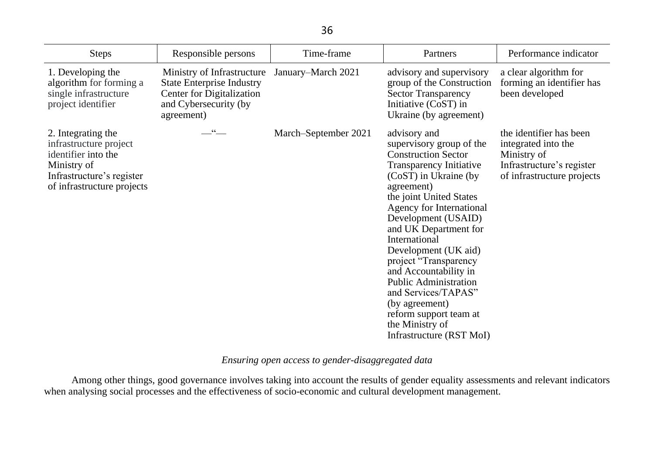| Steps                                                                                                                                         | Responsible persons                                                                                                                | Time-frame           | Partners                                                                                                                                                                                                                                                                                                                                                                                                                                                                                            | Performance indicator                                                                                                    |
|-----------------------------------------------------------------------------------------------------------------------------------------------|------------------------------------------------------------------------------------------------------------------------------------|----------------------|-----------------------------------------------------------------------------------------------------------------------------------------------------------------------------------------------------------------------------------------------------------------------------------------------------------------------------------------------------------------------------------------------------------------------------------------------------------------------------------------------------|--------------------------------------------------------------------------------------------------------------------------|
| 1. Developing the<br>algorithm for forming a<br>single infrastructure<br>project identifier                                                   | Ministry of Infrastructure<br><b>State Enterprise Industry</b><br>Center for Digitalization<br>and Cybersecurity (by<br>agreement) | January–March 2021   | advisory and supervisory<br>group of the Construction<br><b>Sector Transparency</b><br>Initiative (CoST) in<br>Ukraine (by agreement)                                                                                                                                                                                                                                                                                                                                                               | a clear algorithm for<br>forming an identifier has<br>been developed                                                     |
| 2. Integrating the<br>infrastructure project<br>identifier into the<br>Ministry of<br>Infrastructure's register<br>of infrastructure projects | $\overset{\cdot\cdot\cdot}{-}$                                                                                                     | March-September 2021 | advisory and<br>supervisory group of the<br><b>Construction Sector</b><br><b>Transparency Initiative</b><br>(CoST) in Ukraine (by<br>agreement)<br>the joint United States<br>Agency for International<br>Development (USAID)<br>and UK Department for<br>International<br>Development (UK aid)<br>project "Transparency<br>and Accountability in<br><b>Public Administration</b><br>and Services/TAPAS"<br>(by agreement)<br>reform support team at<br>the Ministry of<br>Infrastructure (RST MoI) | the identifier has been<br>integrated into the<br>Ministry of<br>Infrastructure's register<br>of infrastructure projects |

# *Ensuring open access to gender-disaggregated data*

Among other things, good governance involves taking into account the results of gender equality assessments and relevant indicators when analysing social processes and the effectiveness of socio-economic and cultural development management.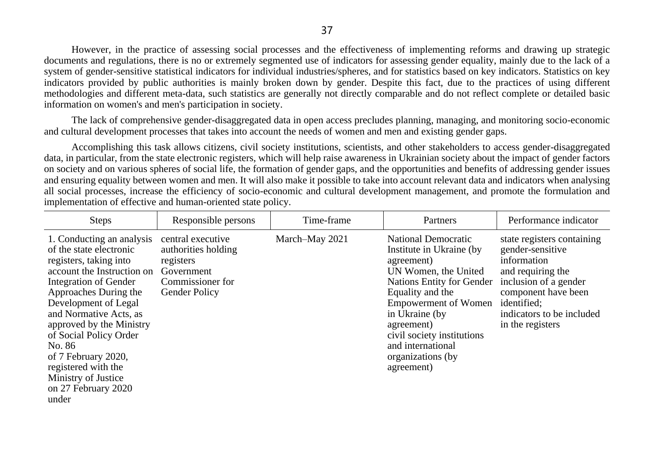However, in the practice of assessing social processes and the effectiveness of implementing reforms and drawing up strategic documents and regulations, there is no or extremely segmented use of indicators for assessing gender equality, mainly due to the lack of a system of gender-sensitive statistical indicators for individual industries/spheres, and for statistics based on key indicators. Statistics on key indicators provided by public authorities is mainly broken down by gender. Despite this fact, due to the practices of using different methodologies and different meta-data, such statistics are generally not directly comparable and do not reflect complete or detailed basic information on women's and men's participation in society.

The lack of comprehensive gender-disaggregated data in open access precludes planning, managing, and monitoring socio-economic and cultural development processes that takes into account the needs of women and men and existing gender gaps.

Accomplishing this task allows citizens, civil society institutions, scientists, and other stakeholders to access gender-disaggregated data, in particular, from the state electronic registers, which will help raise awareness in Ukrainian society about the impact of gender factors on society and on various spheres of social life, the formation of gender gaps, and the opportunities and benefits of addressing gender issues and ensuring equality between women and men. It will also make it possible to take into account relevant data and indicators when analysing all social processes, increase the efficiency of socio-economic and cultural development management, and promote the formulation and implementation of effective and human-oriented state policy.

| <b>Steps</b>                                                                                                                                                                                                                                                                                                                                                                          | Responsible persons                                                                                             | Time-frame     | Partners                                                                                                                                                                                                                                                                                                   | Performance indicator                                                                                                                                                                              |
|---------------------------------------------------------------------------------------------------------------------------------------------------------------------------------------------------------------------------------------------------------------------------------------------------------------------------------------------------------------------------------------|-----------------------------------------------------------------------------------------------------------------|----------------|------------------------------------------------------------------------------------------------------------------------------------------------------------------------------------------------------------------------------------------------------------------------------------------------------------|----------------------------------------------------------------------------------------------------------------------------------------------------------------------------------------------------|
| 1. Conducting an analysis<br>of the state electronic<br>registers, taking into<br>account the Instruction on<br>Integration of Gender<br>Approaches During the<br>Development of Legal<br>and Normative Acts, as<br>approved by the Ministry<br>of Social Policy Order<br>No. 86<br>of 7 February 2020,<br>registered with the<br>Ministry of Justice<br>on 27 February 2020<br>under | central executive<br>authorities holding<br>registers<br>Government<br>Commissioner for<br><b>Gender Policy</b> | March-May 2021 | <b>National Democratic</b><br>Institute in Ukraine (by)<br>agreement)<br>UN Women, the United<br><b>Nations Entity for Gender</b><br>Equality and the<br><b>Empowerment of Women</b><br>in Ukraine (by<br>agreement)<br>civil society institutions<br>and international<br>organizations (by<br>agreement) | state registers containing<br>gender-sensitive<br>information<br>and requiring the<br>inclusion of a gender<br>component have been<br>identified;<br>indicators to be included<br>in the registers |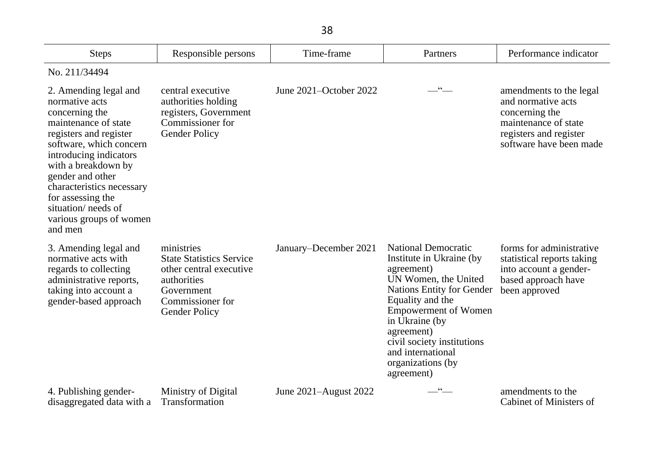| <b>Steps</b>                                                                                                                                                                                                                                                                                                               | Responsible persons                                                                                                                               | Time-frame                   | Partners                                                                                                                                                                                                                                                                                                  | Performance indicator                                                                                                                        |
|----------------------------------------------------------------------------------------------------------------------------------------------------------------------------------------------------------------------------------------------------------------------------------------------------------------------------|---------------------------------------------------------------------------------------------------------------------------------------------------|------------------------------|-----------------------------------------------------------------------------------------------------------------------------------------------------------------------------------------------------------------------------------------------------------------------------------------------------------|----------------------------------------------------------------------------------------------------------------------------------------------|
|                                                                                                                                                                                                                                                                                                                            |                                                                                                                                                   |                              |                                                                                                                                                                                                                                                                                                           |                                                                                                                                              |
| No. 211/34494                                                                                                                                                                                                                                                                                                              |                                                                                                                                                   |                              |                                                                                                                                                                                                                                                                                                           |                                                                                                                                              |
| 2. Amending legal and<br>normative acts<br>concerning the<br>maintenance of state<br>registers and register<br>software, which concern<br>introducing indicators<br>with a breakdown by<br>gender and other<br>characteristics necessary<br>for assessing the<br>situation/ needs of<br>various groups of women<br>and men | central executive<br>authorities holding<br>registers, Government<br>Commissioner for<br><b>Gender Policy</b>                                     | June $2021 -$ October $2022$ | $-$ " $-$                                                                                                                                                                                                                                                                                                 | amendments to the legal<br>and normative acts<br>concerning the<br>maintenance of state<br>registers and register<br>software have been made |
| 3. Amending legal and<br>normative acts with<br>regards to collecting<br>administrative reports,<br>taking into account a<br>gender-based approach                                                                                                                                                                         | ministries<br><b>State Statistics Service</b><br>other central executive<br>authorities<br>Government<br>Commissioner for<br><b>Gender Policy</b> | January–December 2021        | <b>National Democratic</b><br>Institute in Ukraine (by<br>agreement)<br>UN Women, the United<br><b>Nations Entity for Gender</b><br>Equality and the<br><b>Empowerment of Women</b><br>in Ukraine (by<br>agreement)<br>civil society institutions<br>and international<br>organizations (by<br>agreement) | forms for administrative<br>statistical reports taking<br>into account a gender-<br>based approach have<br>been approved                     |
| 4. Publishing gender-<br>disaggregated data with a                                                                                                                                                                                                                                                                         | Ministry of Digital<br>Transformation                                                                                                             | June 2021–August 2022        | $66 -$                                                                                                                                                                                                                                                                                                    | amendments to the<br><b>Cabinet of Ministers of</b>                                                                                          |